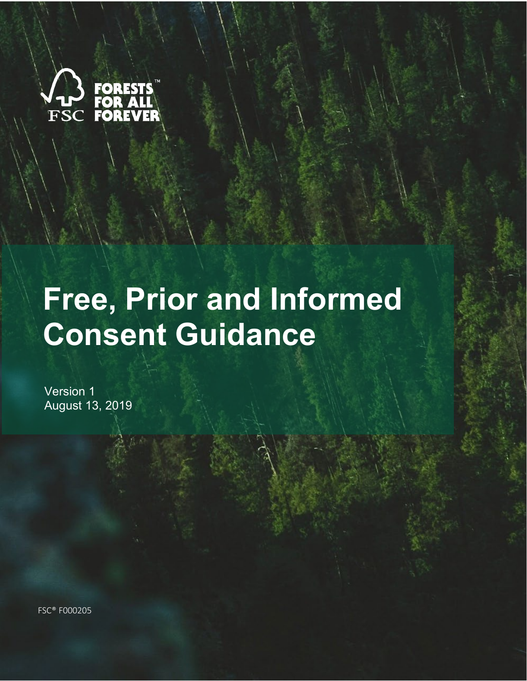

# **Free, Prior and Informed Consent Guidance**

Version 1 August 13, 2019

FSC® F000205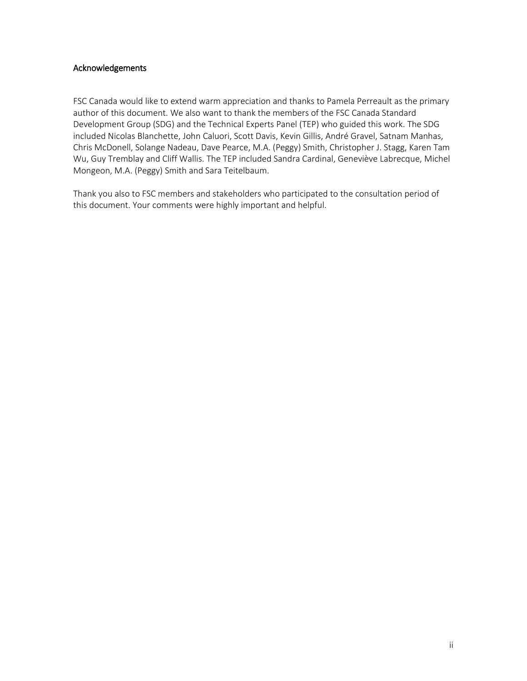#### Acknowledgements

FSC Canada would like to extend warm appreciation and thanks to Pamela Perreault as the primary author of this document. We also want to thank the members of the FSC Canada Standard Development Group (SDG) and the Technical Experts Panel (TEP) who guided this work. The SDG included Nicolas Blanchette, John Caluori, Scott Davis, Kevin Gillis, André Gravel, Satnam Manhas, Chris McDonell, Solange Nadeau, Dave Pearce, M.A. (Peggy) Smith, Christopher J. Stagg, Karen Tam Wu, Guy Tremblay and Cliff Wallis. The TEP included Sandra Cardinal, Geneviève Labrecque, Michel Mongeon, M.A. (Peggy) Smith and Sara Teitelbaum.

Thank you also to FSC members and stakeholders who participated to the consultation period of this document. Your comments were highly important and helpful.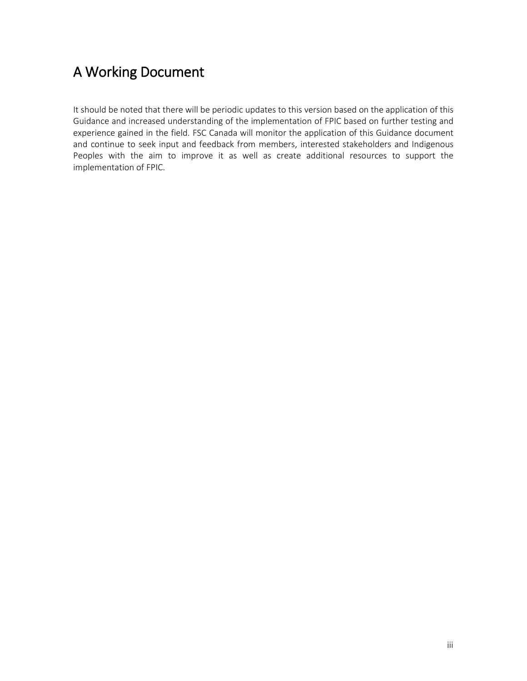## A Working Document

It should be noted that there will be periodic updates to this version based on the application of this Guidance and increased understanding of the implementation of FPIC based on further testing and experience gained in the field. FSC Canada will monitor the application of this Guidance document and continue to seek input and feedback from members, interested stakeholders and Indigenous Peoples with the aim to improve it as well as create additional resources to support the implementation of FPIC.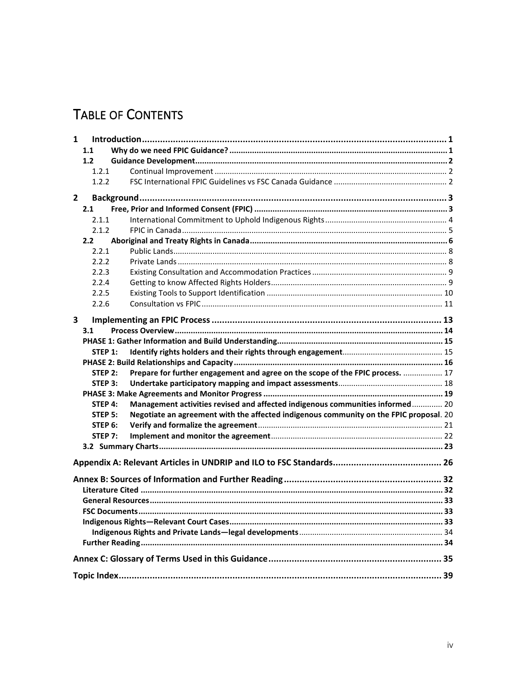## TABLE OF CONTENTS

| $\mathbf{1}$ |                                                                                        |  |  |  |  |  |
|--------------|----------------------------------------------------------------------------------------|--|--|--|--|--|
| 1.1          |                                                                                        |  |  |  |  |  |
| 1.2          |                                                                                        |  |  |  |  |  |
| 1.2.1        |                                                                                        |  |  |  |  |  |
| 1.2.2        |                                                                                        |  |  |  |  |  |
| $\mathbf{2}$ |                                                                                        |  |  |  |  |  |
| 2.1          |                                                                                        |  |  |  |  |  |
| 2.1.1        |                                                                                        |  |  |  |  |  |
| 2.1.2        |                                                                                        |  |  |  |  |  |
| 2.2          |                                                                                        |  |  |  |  |  |
| 2.2.1        |                                                                                        |  |  |  |  |  |
| 2.2.2        |                                                                                        |  |  |  |  |  |
| 2.2.3        |                                                                                        |  |  |  |  |  |
| 2.2.4        |                                                                                        |  |  |  |  |  |
| 2.2.5        |                                                                                        |  |  |  |  |  |
| 2.2.6        |                                                                                        |  |  |  |  |  |
|              |                                                                                        |  |  |  |  |  |
| 3            |                                                                                        |  |  |  |  |  |
| 3.1          |                                                                                        |  |  |  |  |  |
|              |                                                                                        |  |  |  |  |  |
| STEP 1:      |                                                                                        |  |  |  |  |  |
|              |                                                                                        |  |  |  |  |  |
| STEP 2:      | Prepare for further engagement and agree on the scope of the FPIC process.  17         |  |  |  |  |  |
| STEP 3:      |                                                                                        |  |  |  |  |  |
|              |                                                                                        |  |  |  |  |  |
| STEP 4:      | Management activities revised and affected indigenous communities informed 20          |  |  |  |  |  |
| STEP 5:      | Negotiate an agreement with the affected indigenous community on the FPIC proposal. 20 |  |  |  |  |  |
| STEP 6:      |                                                                                        |  |  |  |  |  |
| STEP 7:      |                                                                                        |  |  |  |  |  |
|              |                                                                                        |  |  |  |  |  |
|              |                                                                                        |  |  |  |  |  |
|              |                                                                                        |  |  |  |  |  |
|              |                                                                                        |  |  |  |  |  |
|              |                                                                                        |  |  |  |  |  |
|              |                                                                                        |  |  |  |  |  |
|              |                                                                                        |  |  |  |  |  |
|              |                                                                                        |  |  |  |  |  |
|              |                                                                                        |  |  |  |  |  |
|              |                                                                                        |  |  |  |  |  |
|              |                                                                                        |  |  |  |  |  |
|              |                                                                                        |  |  |  |  |  |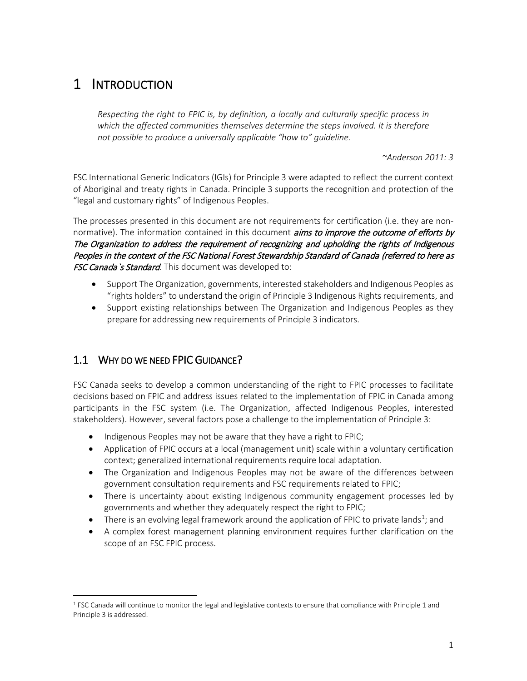### <span id="page-4-0"></span>1 INTRODUCTION

*Respecting the right to FPIC is, by definition, a locally and culturally specific process in which the affected communities themselves determine the steps involved. It is therefore not possible to produce a universally applicable "how to" guideline.*

*~Anderson 2011: 3*

FSC International Generic Indicators (IGIs) for Principle 3 were adapted to reflect the current context of Aboriginal and treaty rights in Canada. Principle 3 supports the recognition and protection of the "legal and customary rights" of Indigenous Peoples.

The processes presented in this document are not requirements for certification (i.e. they are nonnormative). The information contained in this document *aims to improve the outcome of efforts by* The Organization to address the requirement of recognizing and upholding the rights of Indigenous Peoples in the context of the FSC National Forest Stewardship Standard of Canada (referred to here as **FSC Canada`s Standard**. This document was developed to:

- Support The Organization, governments, interested stakeholders and Indigenous Peoples as "rights holders" to understand the origin of Principle 3 Indigenous Rights requirements, and
- Support existing relationships between The Organization and Indigenous Peoples as they prepare for addressing new requirements of Principle 3 indicators.

#### <span id="page-4-1"></span>1.1 WHY DO WE NEED FPIC GUIDANCE?

FSC Canada seeks to develop a common understanding of the right to FPIC processes to facilitate decisions based on FPIC and address issues related to the implementation of FPIC in Canada among participants in the FSC system (i.e. The Organization, affected Indigenous Peoples, interested stakeholders). However, several factors pose a challenge to the implementation of Principle 3:

- Indigenous Peoples may not be aware that they have a right to FPIC;
- Application of FPIC occurs at a local (management unit) scale within a voluntary certification context; generalized international requirements require local adaptation.
- The Organization and Indigenous Peoples may not be aware of the differences between government consultation requirements and FSC requirements related to FPIC;
- There is uncertainty about existing Indigenous community engagement processes led by governments and whether they adequately respect the right to FPIC;
- There is an evolving legal framework around the application of FPIC to private lands<sup>[1](#page-4-2)</sup>; and
- A complex forest management planning environment requires further clarification on the scope of an FSC FPIC process.

<span id="page-4-2"></span><sup>&</sup>lt;sup>1</sup> FSC Canada will continue to monitor the legal and legislative contexts to ensure that compliance with Principle 1 and Principle 3 is addressed.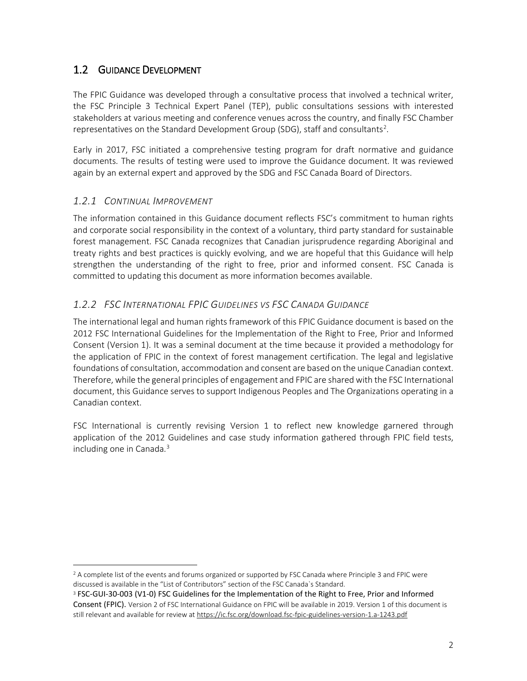#### <span id="page-5-0"></span>1.2 GUIDANCE DEVELOPMENT

The FPIC Guidance was developed through a consultative process that involved a technical writer, the FSC Principle 3 Technical Expert Panel (TEP), public consultations sessions with interested stakeholders at various meeting and conference venues across the country, and finally FSC Chamber representatives on the Standard Development Group (SDG), staff and consultants<sup>[2](#page-5-3)</sup>.

Early in 2017, FSC initiated a comprehensive testing program for draft normative and guidance documents. The results of testing were used to improve the Guidance document. It was reviewed again by an external expert and approved by the SDG and FSC Canada Board of Directors.

#### <span id="page-5-1"></span>*1.2.1 CONTINUAL IMPROVEMENT*

The information contained in this Guidance document reflects FSC's commitment to human rights and corporate social responsibility in the context of a voluntary, third party standard for sustainable forest management. FSC Canada recognizes that Canadian jurisprudence regarding Aboriginal and treaty rights and best practices is quickly evolving, and we are hopeful that this Guidance will help strengthen the understanding of the right to free, prior and informed consent. FSC Canada is committed to updating this document as more information becomes available.

#### <span id="page-5-2"></span>*1.2.2 FSC INTERNATIONAL FPIC GUIDELINES VS FSC CANADA GUIDANCE*

The international legal and human rights framework of this FPIC Guidance document is based on the 2012 FSC International Guidelines for the Implementation of the Right to Free, Prior and Informed Consent (Version 1). It was a seminal document at the time because it provided a methodology for the application of FPIC in the context of forest management certification. The legal and legislative foundations of consultation, accommodation and consent are based on the unique Canadian context. Therefore, while the general principles of engagement and FPIC are shared with the FSC International document, this Guidance serves to support Indigenous Peoples and The Organizations operating in a Canadian context.

FSC International is currently revising Version 1 to reflect new knowledge garnered through application of the 2012 Guidelines and case study information gathered through FPIC field tests, including one in Canada. $3$ 

<span id="page-5-3"></span><sup>&</sup>lt;sup>2</sup> A complete list of the events and forums organized or supported by FSC Canada where Principle 3 and FPIC were discussed is available in the "List of Contributors" section of the FSC Canada`s Standard.

<span id="page-5-4"></span><sup>&</sup>lt;sup>3</sup> FSC-GUI-30-003 (V1-0) FSC Guidelines for the Implementation of the Right to Free, Prior and Informed Consent (FPIC). Version 2 of FSC International Guidance on FPIC will be available in 2019. Version 1 of this document is still relevant and available for review at<https://ic.fsc.org/download.fsc-fpic-guidelines-version-1.a-1243.pdf>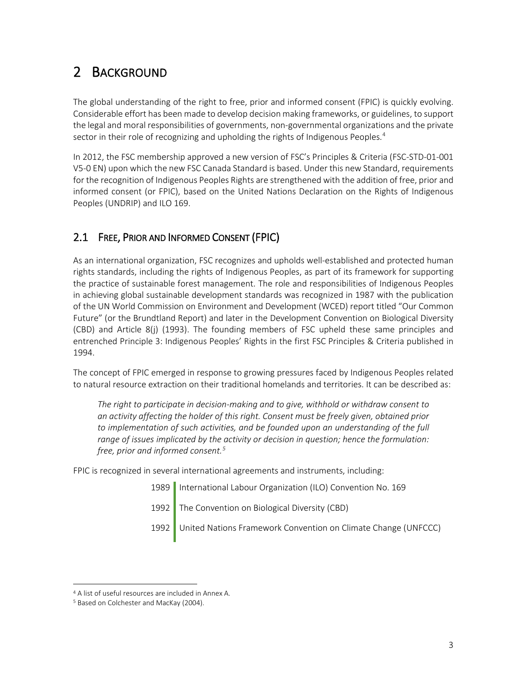### <span id="page-6-0"></span>2 BACKGROUND

The global understanding of the right to free, prior and informed consent (FPIC) is quickly evolving. Considerable effort has been made to develop decision making frameworks, or guidelines, to support the legal and moral responsibilities of governments, non-governmental organizations and the private sector in their role of recognizing and upholding the rights of Indigenous Peoples.<sup>[4](#page-6-2)</sup>

In 2012, the FSC membership approved a new version of FSC's Principles & Criteria (FSC-STD-01-001 V5-0 EN) upon which the new FSC Canada Standard is based. Under this new Standard, requirements for the recognition of Indigenous Peoples Rights are strengthened with the addition of free, prior and informed consent (or FPIC), based on the United Nations Declaration on the Rights of Indigenous Peoples (UNDRIP) and ILO 169.

### <span id="page-6-1"></span>2.1 FREE, PRIOR AND INFORMED CONSENT (FPIC)

As an international organization, FSC recognizes and upholds well-established and protected human rights standards, including the rights of Indigenous Peoples, as part of its framework for supporting the practice of sustainable forest management. The role and responsibilities of Indigenous Peoples in achieving global sustainable development standards was recognized in 1987 with the publication of the UN World Commission on Environment and Development (WCED) report titled "Our Common Future" (or the Brundtland Report) and later in the Development Convention on Biological Diversity (CBD) and Article 8(j) (1993). The founding members of FSC upheld these same principles and entrenched Principle 3: Indigenous Peoples' Rights in the first FSC Principles & Criteria published in 1994.

The concept of FPIC emerged in response to growing pressures faced by Indigenous Peoples related to natural resource extraction on their traditional homelands and territories. It can be described as:

*The right to participate in decision-making and to give, withhold or withdraw consent to an activity affecting the holder of this right. Consent must be freely given, obtained prior to implementation of such activities, and be founded upon an understanding of the full range of issues implicated by the activity or decision in question; hence the formulation: free, prior and informed consent.[5](#page-6-3)*

FPIC is recognized in several international agreements and instruments, including:

1989 | International Labour Organization (ILO) Convention No. 169

1992 The Convention on Biological Diversity (CBD)

1992 United Nations Framework Convention on Climate Change (UNFCCC)

<span id="page-6-2"></span><sup>&</sup>lt;sup>4</sup> A list of useful resources are included in Annex A.<br><sup>5</sup> Based on Colchester and MacKay (2004).

<span id="page-6-3"></span>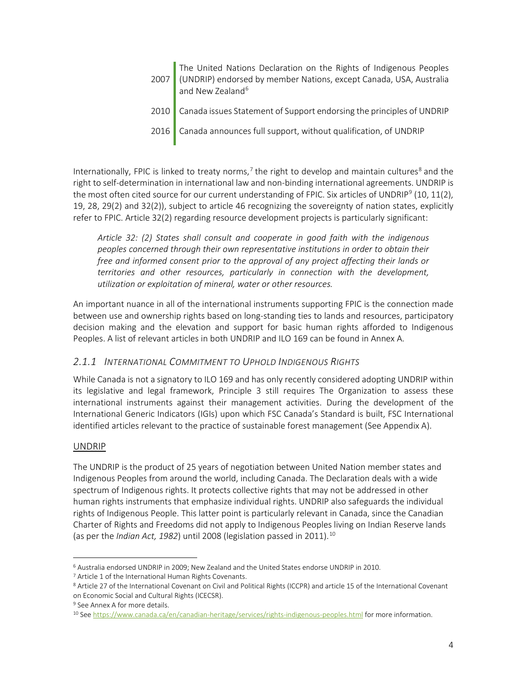2007 The United Nations Declaration on the Rights of Indigenous Peoples (UNDRIP) endorsed by member Nations, except Canada, USA, Australia and New Zealand<sup>[6](#page-7-1)</sup> 2010 Canada issues Statement of Support endorsing the principles of UNDRIP 2016 Canada announces full support, without qualification, of UNDRIP

Internationally, FPIC is linked to treaty norms,<sup>[7](#page-7-2)</sup> the right to develop and maintain cultures<sup>[8](#page-7-3)</sup> and the right to self-determination in international law and non-binding international agreements. UNDRIP is the most often cited source for our current understanding of FPIC. Six articles of UNDRIP<sup>[9](#page-7-4)</sup> (10, 11(2), 19, 28, 29(2) and 32(2)), subject to article 46 recognizing the sovereignty of nation states, explicitly refer to FPIC. Article 32(2) regarding resource development projects is particularly significant:

*Article 32: (2) States shall consult and cooperate in good faith with the indigenous peoples concerned through their own representative institutions in order to obtain their free and informed consent prior to the approval of any project affecting their lands or territories and other resources, particularly in connection with the development, utilization or exploitation of mineral, water or other resources.*

An important nuance in all of the international instruments supporting FPIC is the connection made between use and ownership rights based on long-standing ties to lands and resources, participatory decision making and the elevation and support for basic human rights afforded to Indigenous Peoples. A list of relevant articles in both UNDRIP and ILO 169 can be found in Annex A.

#### <span id="page-7-0"></span>*2.1.1 INTERNATIONAL COMMITMENT TO UPHOLD INDIGENOUS RIGHTS*

While Canada is not a signatory to ILO 169 and has only recently considered adopting UNDRIP within its legislative and legal framework, Principle 3 still requires The Organization to assess these international instruments against their management activities. During the development of the International Generic Indicators (IGIs) upon which FSC Canada's Standard is built, FSC International identified articles relevant to the practice of sustainable forest management (See Appendix A).

#### UNDRIP

The UNDRIP is the product of 25 years of negotiation between United Nation member states and Indigenous Peoples from around the world, including Canada. The Declaration deals with a wide spectrum of Indigenous rights. It protects collective rights that may not be addressed in other human rights instruments that emphasize individual rights. UNDRIP also safeguards the individual rights of Indigenous People. This latter point is particularly relevant in Canada, since the Canadian Charter of Rights and Freedoms did not apply to Indigenous Peoples living on Indian Reserve lands (as per the *Indian Act, 1982*) until 2008 (legislation passed in 2011). [10](#page-7-5)

<span id="page-7-2"></span><sup>7</sup> Article 1 of the International Human Rights Covenants.

<span id="page-7-1"></span> <sup>6</sup> Australia endorsed UNDRIP in 2009; New Zealand and the United States endorse UNDRIP in 2010.

<span id="page-7-3"></span><sup>8</sup> Article 27 of the International Covenant on Civil and Political Rights (ICCPR) and article 15 of the International Covenant on Economic Social and Cultural Rights (ICECSR).

<span id="page-7-4"></span><sup>&</sup>lt;sup>9</sup> See Annex A for more details.

<span id="page-7-5"></span><sup>10</sup> Se[e https://www.canada.ca/en/canadian-heritage/services/rights-indigenous-peoples.html](https://www.canada.ca/en/canadian-heritage/services/rights-indigenous-peoples.html) for more information.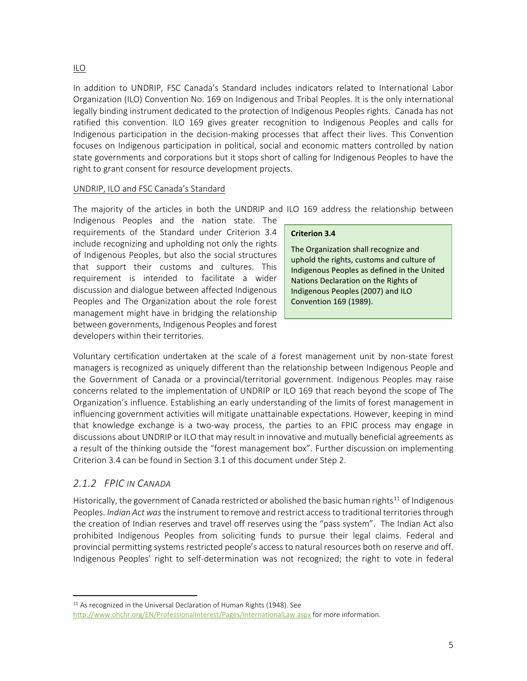#### ILO

In addition to UNDRIP, FSC Canada's Standard includes indicators related to International Labor Organization (ILO) Convention No. 169 on Indigenous and Tribal Peoples. It is the only international legally binding instrument dedicated to the protection of Indigenous Peoples rights. Canada has not ratified this convention. ILO 169 gives greater recognition to Indigenous Peoples and calls for Indigenous participation in the decision-making processes that affect their lives. This Convention focuses on Indigenous participation in political, social and economic matters controlled by nation state governments and corporations but it stops short of calling for Indigenous Peoples to have the right to grant consent for resource development projects.

#### UNDRIP, ILO and FSC Canada's Standard

The majority of the articles in both the UNDRIP and ILO 169 address the relationship between

Indigenous Peoples and the nation state. The requirements of the Standard under Criterion 3.4 include recognizing and upholding not only the rights of Indigenous Peoples, but also the social structures that support their customs and cultures. This requirement is intended to facilitate a wider discussion and dialogue between affected Indigenous Peoples and The Organization about the role forest management might have in bridging the relationship between governments, Indigenous Peoples and forest developers within their territories.

#### **Criterion 3.4**

The Organization shall recognize and uphold the rights, customs and culture of Indigenous Peoples as defined in the United Nations Declaration on the Rights of Indigenous Peoples (2007) and ILO Convention 169 (1989).

Voluntary certification undertaken at the scale of a forest management unit by non-state forest managers is recognized as uniquely different than the relationship between Indigenous People and the Government of Canada or a provincial/territorial government. Indigenous Peoples may raise concerns related to the implementation of UNDRIP or ILO 169 that reach beyond the scope of The Organization's influence. Establishing an early understanding of the limits of forest management in influencing government activities will mitigate unattainable expectations. However, keeping in mind that knowledge exchange is a two-way process, the parties to an FPIC process may engage in discussions about UNDRIP or ILO that may result in innovative and mutually beneficial agreements as a result of the thinking outside the "forest management box". Further discussion on implementing Criterion 3.4 can be found in Section 3.1 of this document under Step 2.

#### <span id="page-8-0"></span>*2.1.2 FPIC IN CANADA*

Historically, the government of Canada restricted or abolished the basic human rights<sup>[11](#page-8-1)</sup> of Indigenous Peoples. *Indian Act was* the instrument to remove and restrict access to traditional territories through the creation of Indian reserves and travel off reserves using the "pass system". The Indian Act also prohibited Indigenous Peoples from soliciting funds to pursue their legal claims. Federal and provincial permitting systems restricted people's access to natural resources both on reserve and off. Indigenous Peoples' right to self-determination was not recognized; the right to vote in federal

<span id="page-8-1"></span><sup>&</sup>lt;sup>11</sup> As recognized in the Universal Declaration of Human Rights (1948). See <http://www.ohchr.org/EN/ProfessionalInterest/Pages/InternationalLaw.aspx> for more information.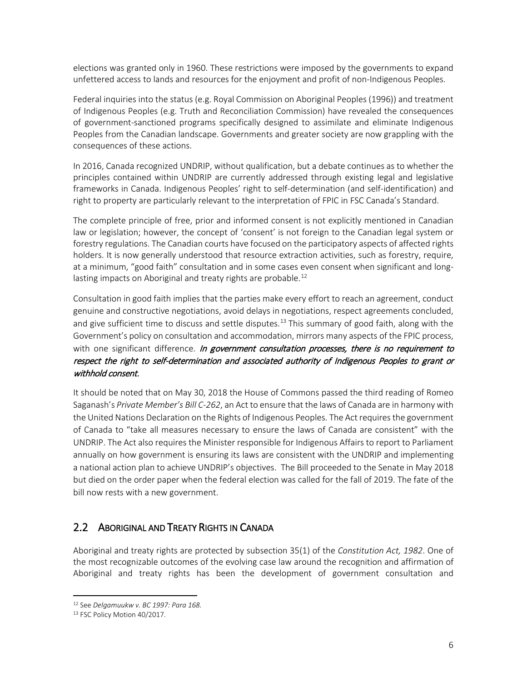elections was granted only in 1960. These restrictions were imposed by the governments to expand unfettered access to lands and resources for the enjoyment and profit of non-Indigenous Peoples.

Federal inquiries into the status (e.g. Royal Commission on Aboriginal Peoples (1996)) and treatment of Indigenous Peoples (e.g. Truth and Reconciliation Commission) have revealed the consequences of government-sanctioned programs specifically designed to assimilate and eliminate Indigenous Peoples from the Canadian landscape. Governments and greater society are now grappling with the consequences of these actions.

In 2016, Canada recognized UNDRIP, without qualification, but a debate continues as to whether the principles contained within UNDRIP are currently addressed through existing legal and legislative frameworks in Canada. Indigenous Peoples' right to self-determination (and self-identification) and right to property are particularly relevant to the interpretation of FPIC in FSC Canada's Standard.

The complete principle of free, prior and informed consent is not explicitly mentioned in Canadian law or legislation; however, the concept of 'consent' is not foreign to the Canadian legal system or forestry regulations. The Canadian courts have focused on the participatory aspects of affected rights holders. It is now generally understood that resource extraction activities, such as forestry, require, at a minimum, "good faith" consultation and in some cases even consent when significant and longlasting impacts on Aboriginal and treaty rights are probable.<sup>12</sup>

Consultation in good faith implies that the parties make every effort to reach an agreement, conduct genuine and constructive negotiations, avoid delays in negotiations, respect agreements concluded, and give sufficient time to discuss and settle disputes.<sup>[13](#page-9-2)</sup> This summary of good faith, along with the Government's policy on consultation and accommodation, mirrors many aspects of the FPIC process, with one significant difference. In government consultation processes, there is no requirement to respect the right to self-determination and associated authority of Indigenous Peoples to grant or withhold consent.

It should be noted that on May 30, 2018 the House of Commons passed the third reading of Romeo Saganash's *Private Member's Bill C-262*, an Act to ensure that the laws of Canada are in harmony with the United Nations Declaration on the Rights of Indigenous Peoples. The Act requires the government of Canada to "take all measures necessary to ensure the laws of Canada are consistent" with the UNDRIP. The Act also requires the Minister responsible for Indigenous Affairs to report to Parliament annually on how government is ensuring its laws are consistent with the UNDRIP and implementing a national action plan to achieve UNDRIP's objectives. The Bill proceeded to the Senate in May 2018 but died on the order paper when the federal election was called for the fall of 2019. The fate of the bill now rests with a new government.

#### <span id="page-9-0"></span>2.2 ABORIGINAL AND TREATY RIGHTS IN CANADA

Aboriginal and treaty rights are protected by subsection 35(1) of the *Constitution Act, 1982*. One of the most recognizable outcomes of the evolving case law around the recognition and affirmation of Aboriginal and treaty rights has been the development of government consultation and

<span id="page-9-1"></span> <sup>12</sup> See *Delgamuukw v. BC 1997: Para 168.*

<span id="page-9-2"></span><sup>13</sup> FSC Policy Motion 40/2017.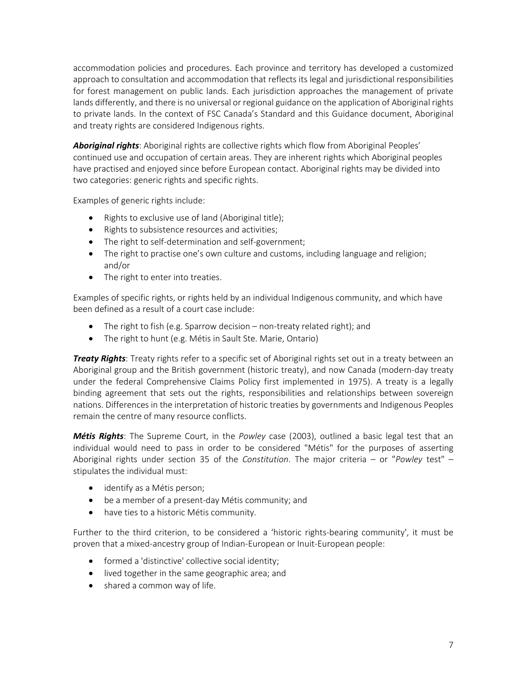accommodation policies and procedures. Each province and territory has developed a customized approach to consultation and accommodation that reflects its legal and jurisdictional responsibilities for forest management on public lands. Each jurisdiction approaches the management of private lands differently, and there is no universal or regional guidance on the application of Aboriginal rights to private lands. In the context of FSC Canada's Standard and this Guidance document, Aboriginal and treaty rights are considered Indigenous rights.

*Aboriginal rights*: Aboriginal rights are collective rights which flow from Aboriginal Peoples' continued use and occupation of certain areas. They are inherent rights which Aboriginal peoples have practised and enjoyed since before European contact. Aboriginal rights may be divided into two categories: generic rights and specific rights.

Examples of generic rights include:

- Rights to exclusive use of land (Aboriginal title);
- Rights to subsistence resources and activities;
- The right to self-determination and self-government;
- The right to practise one's own culture and customs, including language and religion; and/or
- The right to enter into treaties.

Examples of specific rights, or rights held by an individual Indigenous community, and which have been defined as a result of a court case include:

- The right to fish (e.g. Sparrow decision non-treaty related right); and
- The right to hunt (e.g. Métis in Sault Ste. Marie, Ontario)

*Treaty Rights*: Treaty rights refer to a specific set of Aboriginal rights set out in a treaty between an Aboriginal group and the British government (historic treaty), and now Canada (modern-day treaty under the federal Comprehensive Claims Policy first implemented in 1975). A treaty is a legally binding agreement that sets out the rights, responsibilities and relationships between sovereign nations. Differences in the interpretation of historic treaties by governments and Indigenous Peoples remain the centre of many resource conflicts.

*Métis Rights*: The Supreme Court, in the *Powley* case (2003), outlined a basic legal test that an individual would need to pass in order to be considered "Métis" for the purposes of asserting Aboriginal rights under section 35 of the *Constitution*. The major criteria – or "*Powley* test" – stipulates the individual must:

- identify as a Métis person;
- be a member of a present-day Métis community; and
- have ties to a historic Métis community.

Further to the third criterion, to be considered a 'historic rights-bearing community', it must be proven that a mixed-ancestry group of Indian-European or Inuit-European people:

- formed a 'distinctive' collective social identity;
- lived together in the same geographic area; and
- shared a common way of life.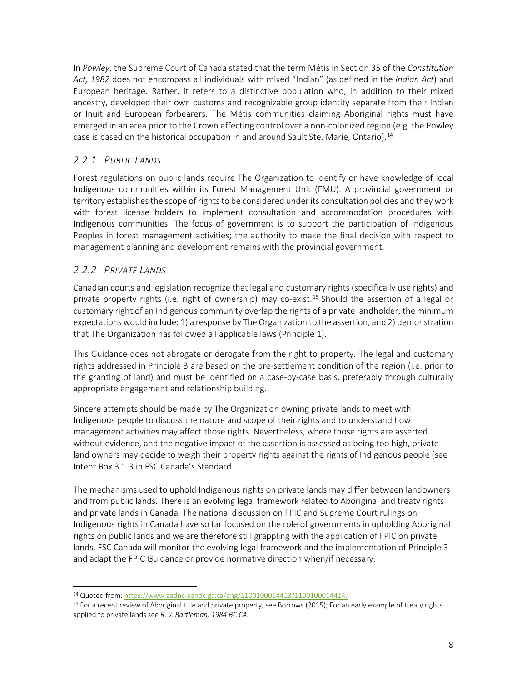<span id="page-11-2"></span>In *Powley*, the Supreme Court of Canada stated that the term Métis in Section 35 of the *Constitution Act, 1982* does not encompass all individuals with mixed "Indian" (as defined in the *Indian Act*) and European heritage. Rather, it refers to a distinctive population who, in addition to their mixed ancestry, developed their own customs and recognizable group identity separate from their Indian or Inuit and European forbearers. The Métis communities claiming Aboriginal rights must have emerged in an area prior to the Crown effecting control over a non-colonized region (e.g. the Powley case is based on the historical occupation in and around Sault Ste. Marie, Ontario).<sup>[14](#page-11-3)</sup>

#### <span id="page-11-0"></span>*2.2.1 PUBLIC LANDS*

Forest regulations on public lands require The Organization to identify or have knowledge of local Indigenous communities within its Forest Management Unit (FMU). A provincial government or territory establishes the scope of rights to be considered under its consultation policies and they work with forest license holders to implement consultation and accommodation procedures with Indigenous communities. The focus of government is to support the participation of Indigenous Peoples in forest management activities; the authority to make the final decision with respect to management planning and development remains with the provincial government.

#### <span id="page-11-1"></span>*2.2.2 PRIVATE LANDS*

Canadian courts and legislation recognize that legal and customary rights (specifically use rights) and private property rights (i.e. right of ownership) may co-exist.[15](#page-11-4) Should the assertion of a legal or customary right of an Indigenous community overlap the rights of a private landholder, the minimum expectations would include: 1) a response by The Organization to the assertion, and 2) demonstration that The Organization has followed all applicable laws (Principle 1).

This Guidance does not abrogate or derogate from the right to property. The legal and customary rights addressed in Principle 3 are based on the pre-settlement condition of the region (i.e. prior to the granting of land) and must be identified on a case-by-case basis, preferably through culturally appropriate engagement and relationship building.

Sincere attempts should be made by The Organization owning private lands to meet with Indigenous people to discuss the nature and scope of their rights and to understand how management activities may affect those rights. Nevertheless, where those rights are asserted without evidence, and the negative impact of the assertion is assessed as being too high, private land owners may decide to weigh their property rights against the rights of Indigenous people (see Intent Box 3.1.3 in FSC Canada's Standard.

The mechanisms used to uphold Indigenous rights on private lands may differ between landowners and from public lands. There is an evolving legal framework related to Aboriginal and treaty rights and private lands in Canada. The national discussion on FPIC and Supreme Court rulings on Indigenous rights in Canada have so far focused on the role of governments in upholding Aboriginal rights on public lands and we are therefore still grappling with the application of FPIC on private lands. FSC Canada will monitor the evolving legal framework and the implementation of Principle 3 and adapt the FPIC Guidance or provide normative direction when/if necessary.

<span id="page-11-3"></span> <sup>14</sup> Quoted from[: https://www.aadnc-aandc.gc.ca/eng/1100100014413/1100100014414.](https://www.aadnc-aandc.gc.ca/eng/1100100014413/1100100014414)

<span id="page-11-4"></span><sup>&</sup>lt;sup>15</sup> For a recent review of Aboriginal title and private property, see Borrows (2015); For an early example of treaty rights applied to private lands see *R. v. Bartleman, 1984 BC CA.*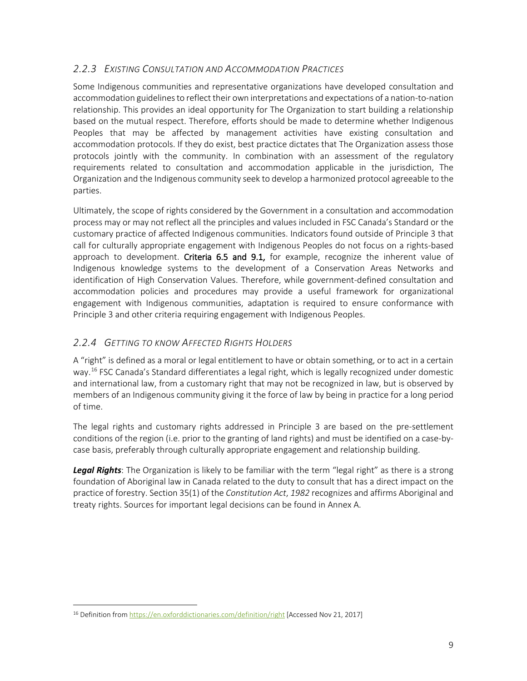#### *2.2.3 EXISTING CONSULTATION AND ACCOMMODATION PRACTICES*

Some Indigenous communities and representative organizations have developed consultation and accommodation guidelines to reflect their own interpretations and expectations of a nation-to-nation relationship. This provides an ideal opportunity for The Organization to start building a relationship based on the mutual respect. Therefore, efforts should be made to determine whether Indigenous Peoples that may be affected by management activities have existing consultation and accommodation protocols. If they do exist, best practice dictates that The Organization assess those protocols jointly with the community. In combination with an assessment of the regulatory requirements related to consultation and accommodation applicable in the jurisdiction, The Organization and the Indigenous community seek to develop a harmonized protocol agreeable to the parties.

Ultimately, the scope of rights considered by the Government in a consultation and accommodation process may or may not reflect all the principles and values included in FSC Canada's Standard or the customary practice of affected Indigenous communities. Indicators found outside of Principle 3 that call for culturally appropriate engagement with Indigenous Peoples do not focus on a rights-based approach to development. Criteria 6.5 and 9.1, for example, recognize the inherent value of Indigenous knowledge systems to the development of a Conservation Areas Networks and identification of High Conservation Values. Therefore, while government-defined consultation and accommodation policies and procedures may provide a useful framework for organizational engagement with Indigenous communities, adaptation is required to ensure conformance with Principle 3 and other criteria requiring engagement with Indigenous Peoples.

#### <span id="page-12-0"></span>*2.2.4 GETTING TO KNOW AFFECTED RIGHTS HOLDERS*

A "right" is defined as a moral or legal entitlement to have or obtain something, or to act in a certain way.<sup>[16](#page-12-1)</sup> FSC Canada's Standard differentiates a legal right, which is legally recognized under domestic and international law, from a customary right that may not be recognized in law, but is observed by members of an Indigenous community giving it the force of law by being in practice for a long period of time.

The legal rights and customary rights addressed in Principle 3 are based on the pre-settlement conditions of the region (i.e. prior to the granting of land rights) and must be identified on a case-bycase basis, preferably through culturally appropriate engagement and relationship building.

*Legal Rights*: The Organization is likely to be familiar with the term "legal right" as there is a strong foundation of Aboriginal law in Canada related to the duty to consult that has a direct impact on the practice of forestry. Section 35(1) of the *Constitution Act*, *1982* recognizes and affirms Aboriginal and treaty rights. Sources for important legal decisions can be found in Annex A.

<span id="page-12-1"></span><sup>&</sup>lt;sup>16</sup> Definition fro[m https://en.oxforddictionaries.com/definition/right](https://en.oxforddictionaries.com/definition/right) [Accessed Nov 21, 2017]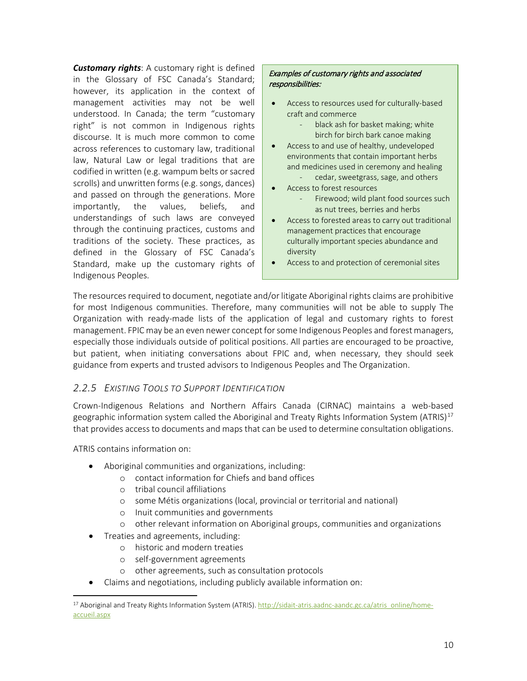*Customary rights*: A customary right is defined in the Glossary of FSC Canada's Standard; however, its application in the context of management activities may not be well understood. In Canada; the term "customary right" is not common in Indigenous rights discourse. It is much more common to come across references to customary law, traditional law, Natural Law or legal traditions that are codified in written (e.g. wampum belts or sacred scrolls) and unwritten forms (e.g. songs, dances) and passed on through the generations. More importantly, the values, beliefs, and understandings of such laws are conveyed through the continuing practices, customs and traditions of the society. These practices, as defined in the Glossary of FSC Canada's Standard, make up the customary rights of Indigenous Peoples.

#### Examples of customary rights and associated responsibilities:

- Access to resources used for culturally-based craft and commerce
	- black ash for basket making; white birch for birch bark canoe making
- Access to and use of healthy, undeveloped environments that contain important herbs and medicines used in ceremony and healing cedar, sweetgrass, sage, and others
- Access to forest resources
	- Firewood; wild plant food sources such as nut trees, berries and herbs
- Access to forested areas to carry out traditional management practices that encourage culturally important species abundance and diversity
- Access to and protection of ceremonial sites

The resources required to document, negotiate and/or litigate Aboriginal rights claims are prohibitive for most Indigenous communities. Therefore, many communities will not be able to supply The Organization with ready-made lists of the application of legal and customary rights to forest management. FPIC may be an even newer concept for some Indigenous Peoples and forest managers, especially those individuals outside of political positions. All parties are encouraged to be proactive, but patient, when initiating conversations about FPIC and, when necessary, they should seek guidance from experts and trusted advisors to Indigenous Peoples and The Organization.

#### <span id="page-13-0"></span>*2.2.5 EXISTING TOOLS TO SUPPORT IDENTIFICATION*

Crown-Indigenous Relations and Northern Affairs Canada (CIRNAC) maintains a web-based geographic information system called the Aboriginal and Treaty Rights Information System (ATRIS)<sup>[17](#page-13-1)</sup> that provides access to documents and maps that can be used to determine consultation obligations.

ATRIS contains information on:

- Aboriginal communities and organizations, including:
	- o contact information for Chiefs and band offices
		- o tribal council affiliations
		- o some Métis organizations (local, provincial or territorial and national)
		- o Inuit communities and governments
	- o other relevant information on Aboriginal groups, communities and organizations
- Treaties and agreements, including:
	- o historic and modern treaties
	- o self-government agreements
	- o other agreements, such as consultation protocols
- Claims and negotiations, including publicly available information on:

<span id="page-13-1"></span><sup>17</sup> Aboriginal and Treaty Rights Information System (ATRIS). [http://sidait-atris.aadnc-aandc.gc.ca/atris\\_online/home](http://sidait-atris.aadnc-aandc.gc.ca/atris_online/home-accueil.aspx)[accueil.aspx](http://sidait-atris.aadnc-aandc.gc.ca/atris_online/home-accueil.aspx)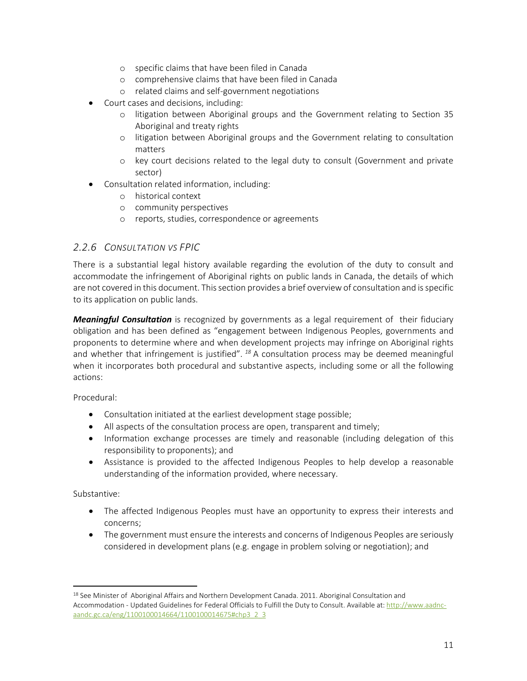- o specific claims that have been filed in Canada
- o comprehensive claims that have been filed in Canada
- o related claims and self-government negotiations
- Court cases and decisions, including:
	- o litigation between Aboriginal groups and the Government relating to Section 35 Aboriginal and treaty rights
	- o litigation between Aboriginal groups and the Government relating to consultation matters
	- o key court decisions related to the legal duty to consult (Government and private sector)
- Consultation related information, including:
	- o historical context
	- o community perspectives
	- o reports, studies, correspondence or agreements

#### <span id="page-14-0"></span>*2.2.6 CONSULTATION VS FPIC*

There is a substantial legal history available regarding the evolution of the duty to consult and accommodate the infringement of Aboriginal rights on public lands in Canada, the details of which are not covered in this document. This section provides a brief overview of consultation and is specific to its application on public lands.

**Meaningful Consultation** is recognized by governments as a legal requirement of their fiduciary obligation and has been defined as "engagement between Indigenous Peoples, governments and proponents to determine where and when development projects may infringe on Aboriginal rights and whether that infringement is justified". <sup>[18](#page-14-1)</sup> A consultation process may be deemed meaningful when it incorporates both procedural and substantive aspects, including some or all the following actions:

Procedural:

- Consultation initiated at the earliest development stage possible;
- All aspects of the consultation process are open, transparent and timely;
- Information exchange processes are timely and reasonable (including delegation of this responsibility to proponents); and
- Assistance is provided to the affected Indigenous Peoples to help develop a reasonable understanding of the information provided, where necessary.

Substantive:

- The affected Indigenous Peoples must have an opportunity to express their interests and concerns;
- The government must ensure the interests and concerns of Indigenous Peoples are seriously considered in development plans (e.g. engage in problem solving or negotiation); and

<span id="page-14-1"></span><sup>&</sup>lt;sup>18</sup> See Minister of Aboriginal Affairs and Northern Development Canada. 2011. Aboriginal Consultation and Accommodation - Updated Guidelines for Federal Officials to Fulfill the Duty to Consult. Available at[: http://www.aadnc](http://www.aadnc-aandc.gc.ca/eng/1100100014664/1100100014675#chp3_2_3)[aandc.gc.ca/eng/1100100014664/1100100014675#chp3\\_2\\_3](http://www.aadnc-aandc.gc.ca/eng/1100100014664/1100100014675#chp3_2_3)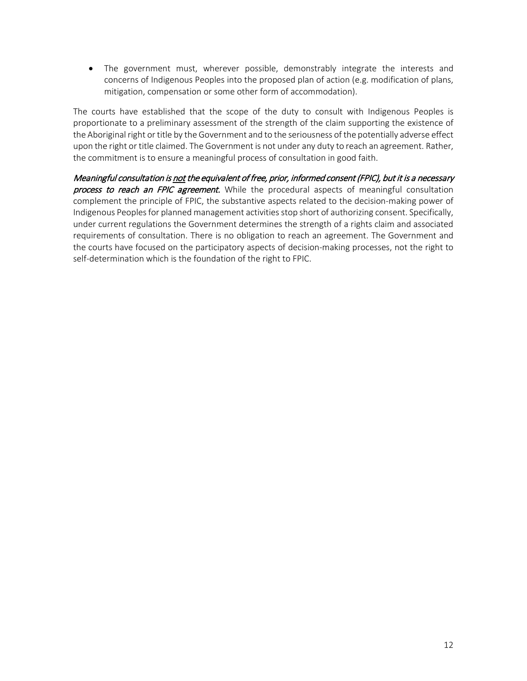• The government must, wherever possible, demonstrably integrate the interests and concerns of Indigenous Peoples into the proposed plan of action (e.g. modification of plans, mitigation, compensation or some other form of accommodation).

The courts have established that the scope of the duty to consult with Indigenous Peoples is proportionate to a preliminary assessment of the strength of the claim supporting the existence of the Aboriginal right or title by the Government and to the seriousness of the potentially adverse effect upon the right or title claimed. The Government is not under any duty to reach an agreement. Rather, the commitment is to ensure a meaningful process of consultation in good faith.

Meaningful consultation is not the equivalent of free, prior, informed consent (FPIC), but it is a necessary process to reach an FPIC agreement. While the procedural aspects of meaningful consultation complement the principle of FPIC, the substantive aspects related to the decision-making power of Indigenous Peoples for planned management activities stop short of authorizing consent. Specifically, under current regulations the Government determines the strength of a rights claim and associated requirements of consultation. There is no obligation to reach an agreement. The Government and the courts have focused on the participatory aspects of decision-making processes, not the right to self-determination which is the foundation of the right to FPIC.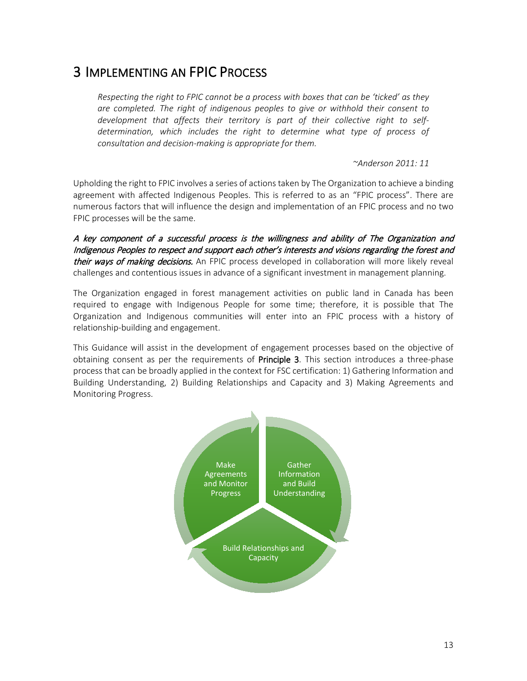### <span id="page-16-0"></span>3 IMPLEMENTING AN FPIC PROCESS

*Respecting the right to FPIC cannot be a process with boxes that can be 'ticked' as they are completed. The right of indigenous peoples to give or withhold their consent to development that affects their territory is part of their collective right to selfdetermination, which includes the right to determine what type of process of consultation and decision-making is appropriate for them.* 

*~Anderson 2011: 11*

Upholding the right to FPIC involves a series of actions taken by The Organization to achieve a binding agreement with affected Indigenous Peoples. This is referred to as an "FPIC process". There are numerous factors that will influence the design and implementation of an FPIC process and no two FPIC processes will be the same.

A key component of a successful process is the willingness and ability of The Organization and Indigenous Peoples to respect and support each other's interests and visions regarding the forest and their ways of making decisions. An FPIC process developed in collaboration will more likely reveal challenges and contentious issues in advance of a significant investment in management planning.

The Organization engaged in forest management activities on public land in Canada has been required to engage with Indigenous People for some time; therefore, it is possible that The Organization and Indigenous communities will enter into an FPIC process with a history of relationship-building and engagement.

This Guidance will assist in the development of engagement processes based on the objective of obtaining consent as per the requirements of Principle 3. This section introduces a three-phase process that can be broadly applied in the context for FSC certification: 1) Gathering Information and Building Understanding, 2) Building Relationships and Capacity and 3) Making Agreements and Monitoring Progress.

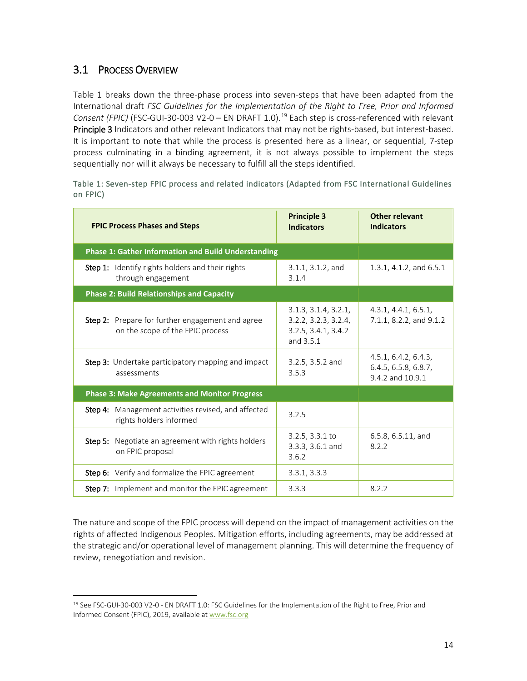#### <span id="page-17-0"></span>3.1 PROCESS OVERVIEW

Table 1 breaks down the three-phase process into seven-steps that have been adapted from the International draft *FSC Guidelines for the Implementation of the Right to Free, Prior and Informed Consent (FPIC)* (FSC-GUI-30-003 V2-0 – EN DRAFT 1.0). [19](#page-17-1) Each step is cross-referenced with relevant Principle 3 Indicators and other relevant Indicators that may not be rights-based, but interest-based. It is important to note that while the process is presented here as a linear, or sequential, 7-step process culminating in a binding agreement, it is not always possible to implement the steps sequentially nor will it always be necessary to fulfill all the steps identified.

| Table 1: Seven-step FPIC process and related indicators (Adapted from FSC International Guidelines |  |  |  |
|----------------------------------------------------------------------------------------------------|--|--|--|
| on FPIC)                                                                                           |  |  |  |

| <b>FPIC Process Phases and Steps</b>                                                        | <b>Principle 3</b><br><b>Indicators</b>                                          | <b>Other relevant</b><br><b>Indicators</b>                       |  |  |  |  |
|---------------------------------------------------------------------------------------------|----------------------------------------------------------------------------------|------------------------------------------------------------------|--|--|--|--|
| <b>Phase 1: Gather Information and Build Understanding</b>                                  |                                                                                  |                                                                  |  |  |  |  |
| Step 1: Identify rights holders and their rights<br>through engagement                      | 3.1.1, 3.1.2, and<br>3.1.4                                                       | 1.3.1, 4.1.2, and 6.5.1                                          |  |  |  |  |
| <b>Phase 2: Build Relationships and Capacity</b>                                            |                                                                                  |                                                                  |  |  |  |  |
| <b>Step 2:</b> Prepare for further engagement and agree<br>on the scope of the FPIC process | 3.1.3, 3.1.4, 3.2.1,<br>3.2.2, 3.2.3, 3.2.4,<br>3.2.5, 3.4.1, 3.4.2<br>and 3.5.1 | 4.3.1, 4.4.1, 6.5.1,<br>7.1.1, 8.2.2, and 9.1.2                  |  |  |  |  |
| <b>Step 3:</b> Undertake participatory mapping and impact<br>assessments                    | 3.2.5, 3.5.2 and<br>3.5.3                                                        | 4.5.1, 6.4.2, 6.4.3,<br>6.4.5, 6.5.8, 6.8.7,<br>9.4.2 and 10.9.1 |  |  |  |  |
| <b>Phase 3: Make Agreements and Monitor Progress</b>                                        |                                                                                  |                                                                  |  |  |  |  |
| <b>Step 4:</b> Management activities revised, and affected<br>rights holders informed       | 3.2.5                                                                            |                                                                  |  |  |  |  |
| <b>Step 5:</b> Negotiate an agreement with rights holders<br>on FPIC proposal               | 3.2.5, 3.3.1 to<br>3.3.3, 3.6.1 and<br>3.6.2                                     | 6.5.8, 6.5.11, and<br>8.2.2                                      |  |  |  |  |
| Step 6: Verify and formalize the FPIC agreement                                             | 3.3.1, 3.3.3                                                                     |                                                                  |  |  |  |  |
| Step 7: Implement and monitor the FPIC agreement                                            | 3.3.3                                                                            | 8.2.2                                                            |  |  |  |  |

The nature and scope of the FPIC process will depend on the impact of management activities on the rights of affected Indigenous Peoples. Mitigation efforts, including agreements, may be addressed at the strategic and/or operational level of management planning. This will determine the frequency of review, renegotiation and revision.

<span id="page-17-1"></span> <sup>19</sup> See FSC-GUI-30-003 V2-0 - EN DRAFT 1.0: FSC Guidelines for the Implementation of the Right to Free, Prior and Informed Consent (FPIC), 2019, available a[t www.fsc.org](http://www.fsc.org/)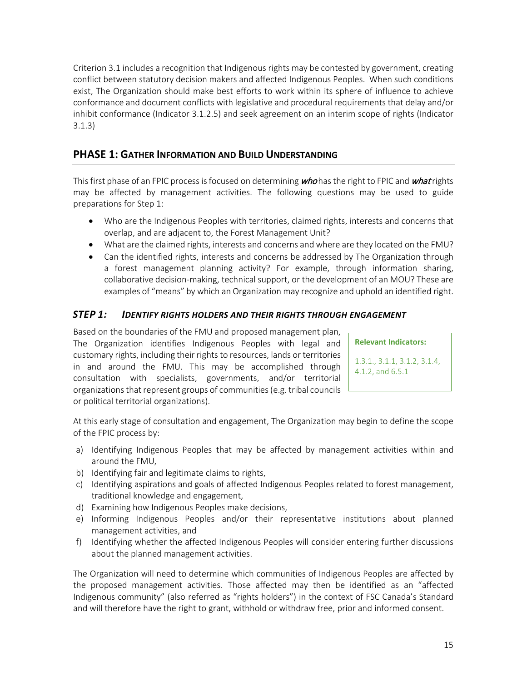Criterion 3.1 includes a recognition that Indigenous rights may be contested by government, creating conflict between statutory decision makers and affected Indigenous Peoples. When such conditions exist, The Organization should make best efforts to work within its sphere of influence to achieve conformance and document conflicts with legislative and procedural requirements that delay and/or inhibit conformance (Indicator 3.1.2.5) and seek agreement on an interim scope of rights (Indicator 3.1.3)

#### <span id="page-18-0"></span>**PHASE 1: GATHER INFORMATION AND BUILD UNDERSTANDING**

This first phase of an FPIC process is focused on determining who has the right to FPIC and what rights may be affected by management activities. The following questions may be used to guide preparations for Step 1:

- Who are the Indigenous Peoples with territories, claimed rights, interests and concerns that overlap, and are adjacent to, the Forest Management Unit?
- What are the claimed rights, interests and concerns and where are they located on the FMU?
- Can the identified rights, interests and concerns be addressed by The Organization through a forest management planning activity? For example, through information sharing, collaborative decision-making, technical support, or the development of an MOU? These are examples of "means" by which an Organization may recognize and uphold an identified right.

#### <span id="page-18-1"></span>*STEP 1: IDENTIFY RIGHTS HOLDERS AND THEIR RIGHTS THROUGH ENGAGEMENT*

Based on the boundaries of the FMU and proposed management plan, The Organization identifies Indigenous Peoples with legal and customary rights, including their rights to resources, lands or territories in and around the FMU. This may be accomplished through consultation with specialists, governments, and/or territorial organizations that represent groups of communities (e.g. tribal councils or political territorial organizations).

**Relevant Indicators:** 

1.3.1., 3.1.1, 3.1.2, 3.1.4, 4.1.2, and 6.5.1

At this early stage of consultation and engagement, The Organization may begin to define the scope of the FPIC process by:

- a) Identifying Indigenous Peoples that may be affected by management activities within and around the FMU,
- b) Identifying fair and legitimate claims to rights,
- c) Identifying aspirations and goals of affected Indigenous Peoples related to forest management, traditional knowledge and engagement,
- d) Examining how Indigenous Peoples make decisions,
- e) Informing Indigenous Peoples and/or their representative institutions about planned management activities, and
- f) Identifying whether the affected Indigenous Peoples will consider entering further discussions about the planned management activities.

The Organization will need to determine which communities of Indigenous Peoples are affected by the proposed management activities. Those affected may then be identified as an "affected Indigenous community" (also referred as "rights holders") in the context of FSC Canada's Standard and will therefore have the right to grant, withhold or withdraw free, prior and informed consent.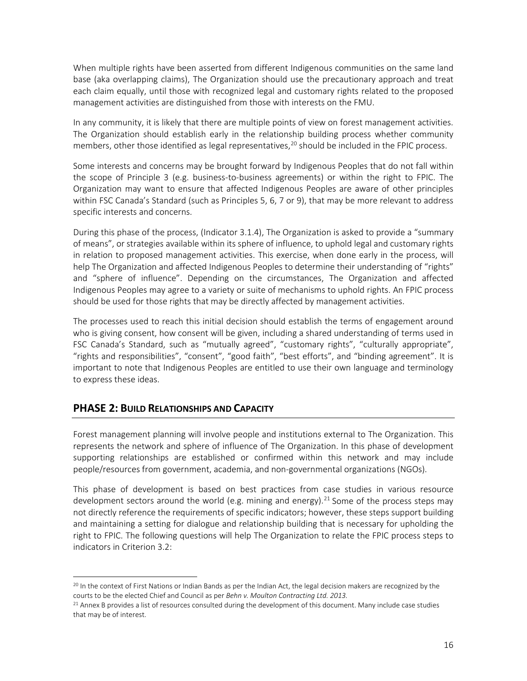When multiple rights have been asserted from different Indigenous communities on the same land base (aka overlapping claims), The Organization should use the precautionary approach and treat each claim equally, until those with recognized legal and customary rights related to the proposed management activities are distinguished from those with interests on the FMU.

In any community, it is likely that there are multiple points of view on forest management activities. The Organization should establish early in the relationship building process whether community members, other those identified as legal representatives,<sup>[20](#page-19-1)</sup> should be included in the FPIC process.

Some interests and concerns may be brought forward by Indigenous Peoples that do not fall within the scope of Principle 3 (e.g. business-to-business agreements) or within the right to FPIC. The Organization may want to ensure that affected Indigenous Peoples are aware of other principles within FSC Canada's Standard (such as Principles 5, 6, 7 or 9), that may be more relevant to address specific interests and concerns.

During this phase of the process, (Indicator 3.1.4), The Organization is asked to provide a "summary of means", or strategies available within its sphere of influence, to uphold legal and customary rights in relation to proposed management activities. This exercise, when done early in the process, will help The Organization and affected Indigenous Peoples to determine their understanding of "rights" and "sphere of influence". Depending on the circumstances, The Organization and affected Indigenous Peoples may agree to a variety or suite of mechanisms to uphold rights. An FPIC process should be used for those rights that may be directly affected by management activities.

The processes used to reach this initial decision should establish the terms of engagement around who is giving consent, how consent will be given, including a shared understanding of terms used in FSC Canada's Standard, such as "mutually agreed", "customary rights", "culturally appropriate", "rights and responsibilities", "consent", "good faith", "best efforts", and "binding agreement". It is important to note that Indigenous Peoples are entitled to use their own language and terminology to express these ideas.

#### <span id="page-19-0"></span>**PHASE 2: BUILD RELATIONSHIPS AND CAPACITY**

Forest management planning will involve people and institutions external to The Organization. This represents the network and sphere of influence of The Organization. In this phase of development supporting relationships are established or confirmed within this network and may include people/resources from government, academia, and non-governmental organizations (NGOs).

This phase of development is based on best practices from case studies in various resource development sectors around the world (e.g. mining and energy).<sup>[21](#page-19-2)</sup> Some of the process steps may not directly reference the requirements of specific indicators; however, these steps support building and maintaining a setting for dialogue and relationship building that is necessary for upholding the right to FPIC. The following questions will help The Organization to relate the FPIC process steps to indicators in Criterion 3.2:

<span id="page-19-1"></span><sup>&</sup>lt;sup>20</sup> In the context of First Nations or Indian Bands as per the Indian Act, the legal decision makers are recognized by the courts to be the elected Chief and Council as per *Behn v. Moulton Contracting Ltd. 2013.*

<span id="page-19-2"></span><sup>&</sup>lt;sup>21</sup> Annex B provides a list of resources consulted during the development of this document. Many include case studies that may be of interest.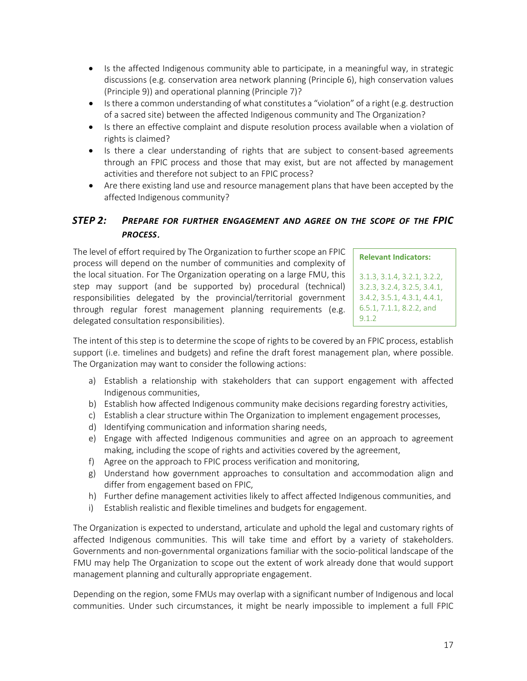- Is the affected Indigenous community able to participate, in a meaningful way, in strategic discussions (e.g. conservation area network planning (Principle 6), high conservation values (Principle 9)) and operational planning (Principle 7)?
- Is there a common understanding of what constitutes a "violation" of a right (e.g. destruction of a sacred site) between the affected Indigenous community and The Organization?
- Is there an effective complaint and dispute resolution process available when a violation of rights is claimed?
- Is there a clear understanding of rights that are subject to consent-based agreements through an FPIC process and those that may exist, but are not affected by management activities and therefore not subject to an FPIC process?
- Are there existing land use and resource management plans that have been accepted by the affected Indigenous community?

#### <span id="page-20-0"></span>*STEP 2: PREPARE FOR FURTHER ENGAGEMENT AND AGREE ON THE SCOPE OF THE FPIC PROCESS*.

The level of effort required by The Organization to further scope an FPIC process will depend on the number of communities and complexity of the local situation. For The Organization operating on a large FMU, this step may support (and be supported by) procedural (technical) responsibilities delegated by the provincial/territorial government through regular forest management planning requirements (e.g. delegated consultation responsibilities).

3.1.3, 3.1.4, 3.2.1, 3.2.2, 3.2.3, 3.2.4, 3.2.5, 3.4.1, 3.4.2, 3.5.1, 4.3.1, 4.4.1, 6.5.1, 7.1.1, 8.2.2, and 9.1.2

The intent of this step is to determine the scope of rights to be covered by an FPIC process, establish support (i.e. timelines and budgets) and refine the draft forest management plan, where possible. The Organization may want to consider the following actions:

- a) Establish a relationship with stakeholders that can support engagement with affected Indigenous communities,
- b) Establish how affected Indigenous community make decisions regarding forestry activities,
- c) Establish a clear structure within The Organization to implement engagement processes,
- d) Identifying communication and information sharing needs,
- e) Engage with affected Indigenous communities and agree on an approach to agreement making, including the scope of rights and activities covered by the agreement,
- f) Agree on the approach to FPIC process verification and monitoring,
- g) Understand how government approaches to consultation and accommodation align and differ from engagement based on FPIC,
- h) Further define management activities likely to affect affected Indigenous communities, and
- i) Establish realistic and flexible timelines and budgets for engagement.

The Organization is expected to understand, articulate and uphold the legal and customary rights of affected Indigenous communities. This will take time and effort by a variety of stakeholders. Governments and non-governmental organizations familiar with the socio-political landscape of the FMU may help The Organization to scope out the extent of work already done that would support management planning and culturally appropriate engagement.

Depending on the region, some FMUs may overlap with a significant number of Indigenous and local communities. Under such circumstances, it might be nearly impossible to implement a full FPIC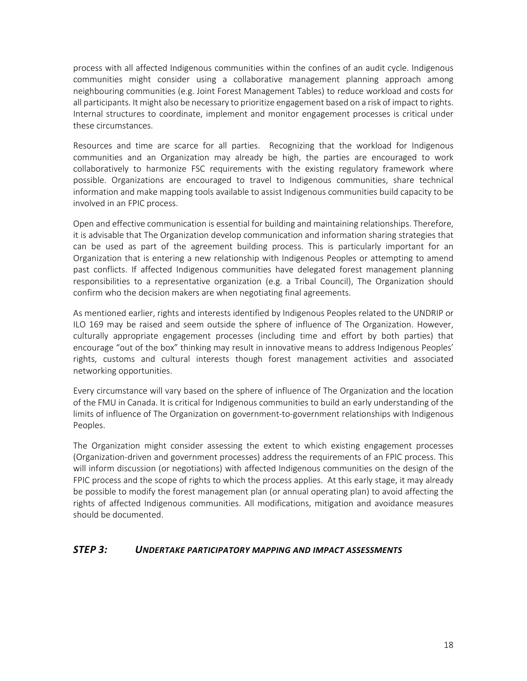process with all affected Indigenous communities within the confines of an audit cycle. Indigenous communities might consider using a collaborative management planning approach among neighbouring communities (e.g. Joint Forest Management Tables) to reduce workload and costs for all participants. It might also be necessary to prioritize engagement based on a risk of impact to rights. Internal structures to coordinate, implement and monitor engagement processes is critical under these circumstances.

Resources and time are scarce for all parties. Recognizing that the workload for Indigenous communities and an Organization may already be high, the parties are encouraged to work collaboratively to harmonize FSC requirements with the existing regulatory framework where possible. Organizations are encouraged to travel to Indigenous communities, share technical information and make mapping tools available to assist Indigenous communities build capacity to be involved in an FPIC process.

Open and effective communication is essential for building and maintaining relationships. Therefore, it is advisable that The Organization develop communication and information sharing strategies that can be used as part of the agreement building process. This is particularly important for an Organization that is entering a new relationship with Indigenous Peoples or attempting to amend past conflicts. If affected Indigenous communities have delegated forest management planning responsibilities to a representative organization (e.g. a Tribal Council), The Organization should confirm who the decision makers are when negotiating final agreements.

As mentioned earlier, rights and interests identified by Indigenous Peoples related to the UNDRIP or ILO 169 may be raised and seem outside the sphere of influence of The Organization. However, culturally appropriate engagement processes (including time and effort by both parties) that encourage "out of the box" thinking may result in innovative means to address Indigenous Peoples' rights, customs and cultural interests though forest management activities and associated networking opportunities.

Every circumstance will vary based on the sphere of influence of The Organization and the location of the FMU in Canada. It is critical for Indigenous communities to build an early understanding of the limits of influence of The Organization on government-to-government relationships with Indigenous Peoples.

The Organization might consider assessing the extent to which existing engagement processes (Organization-driven and government processes) address the requirements of an FPIC process. This will inform discussion (or negotiations) with affected Indigenous communities on the design of the FPIC process and the scope of rights to which the process applies. At this early stage, it may already be possible to modify the forest management plan (or annual operating plan) to avoid affecting the rights of affected Indigenous communities. All modifications, mitigation and avoidance measures should be documented.

#### <span id="page-21-0"></span>*STEP 3: UNDERTAKE PARTICIPATORY MAPPING AND IMPACT ASSESSMENTS*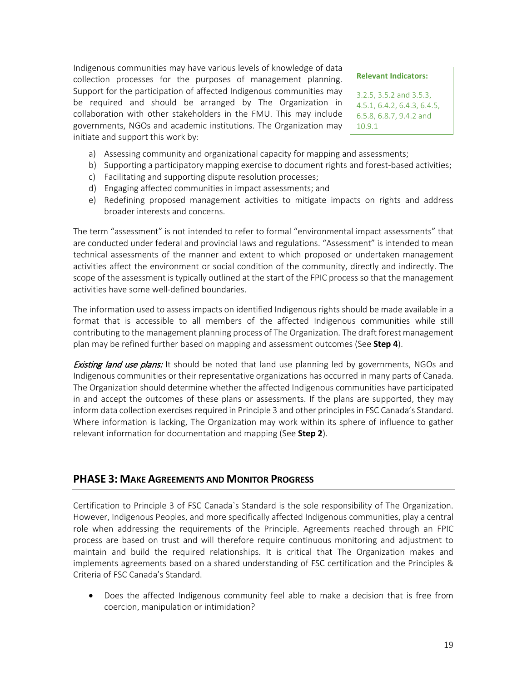Indigenous communities may have various levels of knowledge of data collection processes for the purposes of management planning. Support for the participation of affected Indigenous communities may be required and should be arranged by The Organization in collaboration with other stakeholders in the FMU. This may include governments, NGOs and academic institutions. The Organization may initiate and support this work by:

**Relevant Indicators:** 

3.2.5, 3.5.2 and 3.5.3, 4.5.1, 6.4.2, 6.4.3, 6.4.5, 6.5.8, 6.8.7, 9.4.2 and 10.9.1

- a) Assessing community and organizational capacity for mapping and assessments;
- b) Supporting a participatory mapping exercise to document rights and forest-based activities;
- c) Facilitating and supporting dispute resolution processes;
- d) Engaging affected communities in impact assessments; and
- e) Redefining proposed management activities to mitigate impacts on rights and address broader interests and concerns.

The term "assessment" is not intended to refer to formal "environmental impact assessments" that are conducted under federal and provincial laws and regulations. "Assessment" is intended to mean technical assessments of the manner and extent to which proposed or undertaken management activities affect the environment or social condition of the community, directly and indirectly. The scope of the assessment is typically outlined at the start of the FPIC process so that the management activities have some well-defined boundaries.

The information used to assess impacts on identified Indigenous rights should be made available in a format that is accessible to all members of the affected Indigenous communities while still contributing to the management planning process of The Organization. The draft forest management plan may be refined further based on mapping and assessment outcomes (See **Step 4**).

**Existing land use plans:** It should be noted that land use planning led by governments, NGOs and Indigenous communities or their representative organizations has occurred in many parts of Canada. The Organization should determine whether the affected Indigenous communities have participated in and accept the outcomes of these plans or assessments. If the plans are supported, they may inform data collection exercises required in Principle 3 and other principles in FSC Canada's Standard. Where information is lacking, The Organization may work within its sphere of influence to gather relevant information for documentation and mapping (See **Step 2**).

#### <span id="page-22-0"></span>**PHASE 3: MAKE AGREEMENTS AND MONITOR PROGRESS**

Certification to Principle 3 of FSC Canada`s Standard is the sole responsibility of The Organization. However, Indigenous Peoples, and more specifically affected Indigenous communities, play a central role when addressing the requirements of the Principle. Agreements reached through an FPIC process are based on trust and will therefore require continuous monitoring and adjustment to maintain and build the required relationships. It is critical that The Organization makes and implements agreements based on a shared understanding of FSC certification and the Principles & Criteria of FSC Canada's Standard.

• Does the affected Indigenous community feel able to make a decision that is free from coercion, manipulation or intimidation?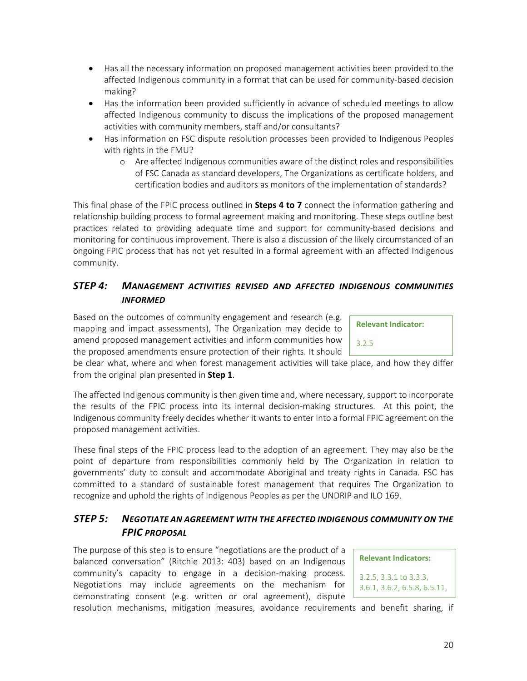- Has all the necessary information on proposed management activities been provided to the affected Indigenous community in a format that can be used for community-based decision making?
- Has the information been provided sufficiently in advance of scheduled meetings to allow affected Indigenous community to discuss the implications of the proposed management activities with community members, staff and/or consultants?
- Has information on FSC dispute resolution processes been provided to Indigenous Peoples with rights in the FMU?
	- o Are affected Indigenous communities aware of the distinct roles and responsibilities of FSC Canada as standard developers, The Organizations as certificate holders, and certification bodies and auditors as monitors of the implementation of standards?

This final phase of the FPIC process outlined in **Steps 4 to 7** connect the information gathering and relationship building process to formal agreement making and monitoring. These steps outline best practices related to providing adequate time and support for community-based decisions and monitoring for continuous improvement. There is also a discussion of the likely circumstanced of an ongoing FPIC process that has not yet resulted in a formal agreement with an affected Indigenous community.

#### <span id="page-23-0"></span>*STEP 4: MANAGEMENT ACTIVITIES REVISED AND AFFECTED INDIGENOUS COMMUNITIES INFORMED*

Based on the outcomes of community engagement and research (e.g. mapping and impact assessments), The Organization may decide to amend proposed management activities and inform communities how the proposed amendments ensure protection of their rights. It should

**Relevant Indicator:** 

3.2.5

be clear what, where and when forest management activities will take place, and how they differ from the original plan presented in **Step 1**.

The affected Indigenous community is then given time and, where necessary, support to incorporate the results of the FPIC process into its internal decision-making structures. At this point, the Indigenous community freely decides whether it wants to enter into a formal FPIC agreement on the proposed management activities.

These final steps of the FPIC process lead to the adoption of an agreement. They may also be the point of departure from responsibilities commonly held by The Organization in relation to governments' duty to consult and accommodate Aboriginal and treaty rights in Canada. FSC has committed to a standard of sustainable forest management that requires The Organization to recognize and uphold the rights of Indigenous Peoples as per the UNDRIP and ILO 169.

#### <span id="page-23-1"></span>*STEP 5: NEGOTIATE AN AGREEMENT WITH THE AFFECTED INDIGENOUS COMMUNITY ON THE FPIC PROPOSAL*

The purpose of this step is to ensure "negotiations are the product of a balanced conversation" (Ritchie 2013: 403) based on an Indigenous community's capacity to engage in a decision-making process. Negotiations may include agreements on the mechanism for demonstrating consent (e.g. written or oral agreement), dispute

**Relevant Indicators:**  3.2.5, 3.3.1 to 3.3.3, 3.6.1, 3.6.2, 6.5.8, 6.5.11,

resolution mechanisms, mitigation measures, avoidance requirements and benefit sharing, if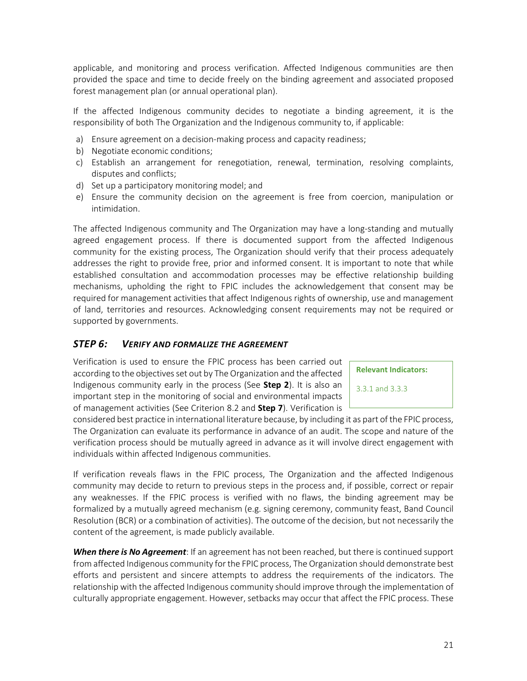applicable, and monitoring and process verification. Affected Indigenous communities are then provided the space and time to decide freely on the binding agreement and associated proposed forest management plan (or annual operational plan).

If the affected Indigenous community decides to negotiate a binding agreement, it is the responsibility of both The Organization and the Indigenous community to, if applicable:

- a) Ensure agreement on a decision-making process and capacity readiness;
- b) Negotiate economic conditions;
- c) Establish an arrangement for renegotiation, renewal, termination, resolving complaints, disputes and conflicts;
- d) Set up a participatory monitoring model; and
- e) Ensure the community decision on the agreement is free from coercion, manipulation or intimidation.

The affected Indigenous community and The Organization may have a long-standing and mutually agreed engagement process. If there is documented support from the affected Indigenous community for the existing process, The Organization should verify that their process adequately addresses the right to provide free, prior and informed consent. It is important to note that while established consultation and accommodation processes may be effective relationship building mechanisms, upholding the right to FPIC includes the acknowledgement that consent may be required for management activities that affect Indigenous rights of ownership, use and management of land, territories and resources. Acknowledging consent requirements may not be required or supported by governments.

#### <span id="page-24-0"></span>*STEP 6: VERIFY AND FORMALIZE THE AGREEMENT*

Verification is used to ensure the FPIC process has been carried out according to the objectives set out by The Organization and the affected Indigenous community early in the process (See **Step 2**). It is also an important step in the monitoring of social and environmental impacts of management activities (See Criterion 8.2 and **Step 7**). Verification is

**Relevant Indicators:** 

3.3.1 and 3.3.3

considered best practice in international literature because, by including it as part of the FPIC process, The Organization can evaluate its performance in advance of an audit. The scope and nature of the verification process should be mutually agreed in advance as it will involve direct engagement with individuals within affected Indigenous communities.

If verification reveals flaws in the FPIC process, The Organization and the affected Indigenous community may decide to return to previous steps in the process and, if possible, correct or repair any weaknesses. If the FPIC process is verified with no flaws, the binding agreement may be formalized by a mutually agreed mechanism (e.g. signing ceremony, community feast, Band Council Resolution (BCR) or a combination of activities). The outcome of the decision, but not necessarily the content of the agreement, is made publicly available.

*When there is No Agreement*: If an agreement has not been reached, but there is continued support from affected Indigenous community for the FPIC process, The Organization should demonstrate best efforts and persistent and sincere attempts to address the requirements of the indicators. The relationship with the affected Indigenous community should improve through the implementation of culturally appropriate engagement. However, setbacks may occur that affect the FPIC process. These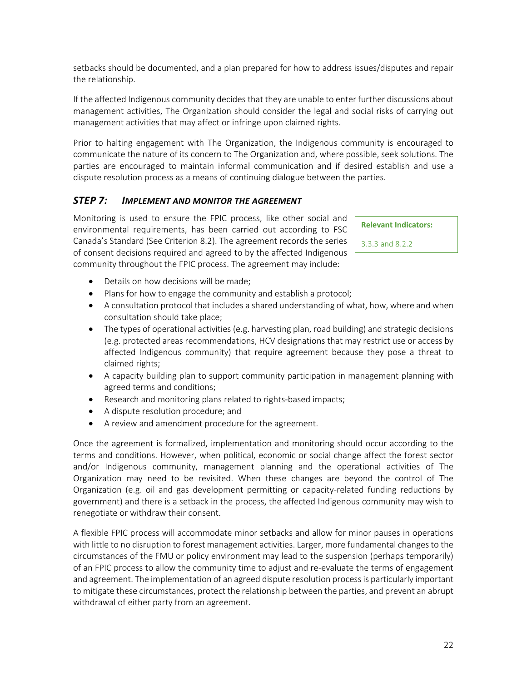setbacks should be documented, and a plan prepared for how to address issues/disputes and repair the relationship.

If the affected Indigenous community decides that they are unable to enter further discussions about management activities, The Organization should consider the legal and social risks of carrying out management activities that may affect or infringe upon claimed rights.

Prior to halting engagement with The Organization, the Indigenous community is encouraged to communicate the nature of its concern to The Organization and, where possible, seek solutions. The parties are encouraged to maintain informal communication and if desired establish and use a dispute resolution process as a means of continuing dialogue between the parties.

#### <span id="page-25-0"></span>*STEP 7: IMPLEMENT AND MONITOR THE AGREEMENT*

Monitoring is used to ensure the FPIC process, like other social and environmental requirements, has been carried out according to FSC Canada's Standard (See Criterion 8.2). The agreement records the series of consent decisions required and agreed to by the affected Indigenous community throughout the FPIC process. The agreement may include:

**Relevant Indicators:** 

3.3.3 and 8.2.2

- Details on how decisions will be made;
- Plans for how to engage the community and establish a protocol;
- A consultation protocol that includes a shared understanding of what, how, where and when consultation should take place;
- The types of operational activities (e.g. harvesting plan, road building) and strategic decisions (e.g. protected areas recommendations, HCV designations that may restrict use or access by affected Indigenous community) that require agreement because they pose a threat to claimed rights;
- A capacity building plan to support community participation in management planning with agreed terms and conditions;
- Research and monitoring plans related to rights-based impacts;
- A dispute resolution procedure; and
- A review and amendment procedure for the agreement.

Once the agreement is formalized, implementation and monitoring should occur according to the terms and conditions. However, when political, economic or social change affect the forest sector and/or Indigenous community, management planning and the operational activities of The Organization may need to be revisited. When these changes are beyond the control of The Organization (e.g. oil and gas development permitting or capacity-related funding reductions by government) and there is a setback in the process, the affected Indigenous community may wish to renegotiate or withdraw their consent.

A flexible FPIC process will accommodate minor setbacks and allow for minor pauses in operations with little to no disruption to forest management activities. Larger, more fundamental changes to the circumstances of the FMU or policy environment may lead to the suspension (perhaps temporarily) of an FPIC process to allow the community time to adjust and re-evaluate the terms of engagement and agreement. The implementation of an agreed dispute resolution process is particularly important to mitigate these circumstances, protect the relationship between the parties, and prevent an abrupt withdrawal of either party from an agreement.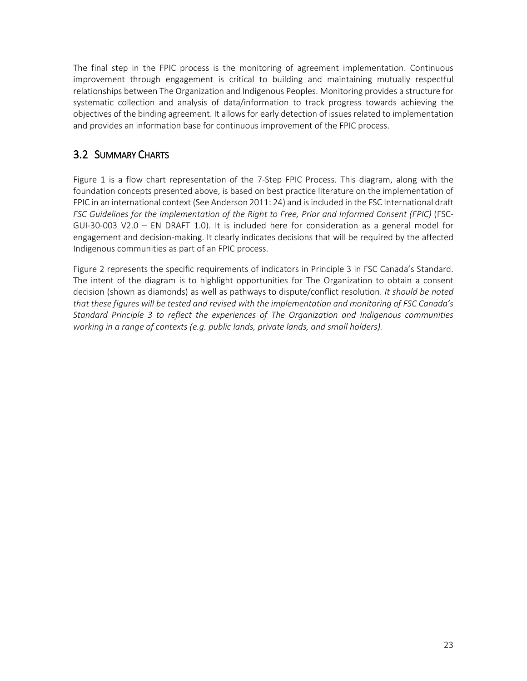The final step in the FPIC process is the monitoring of agreement implementation. Continuous improvement through engagement is critical to building and maintaining mutually respectful relationships between The Organization and Indigenous Peoples. Monitoring provides a structure for systematic collection and analysis of data/information to track progress towards achieving the objectives of the binding agreement. It allows for early detection of issues related to implementation and provides an information base for continuous improvement of the FPIC process.

### <span id="page-26-0"></span>3.2 SUMMARY CHARTS

Figure 1 is a flow chart representation of the 7-Step FPIC Process. This diagram, along with the foundation concepts presented above, is based on best practice literature on the implementation of FPIC in an international context (See Anderson 2011: 24) and is included in the FSC International draft *FSC Guidelines for the Implementation of the Right to Free, Prior and Informed Consent (FPIC)* (FSC-GUI-30-003 V2.0 – EN DRAFT 1.0). It is included here for consideration as a general model for engagement and decision-making. It clearly indicates decisions that will be required by the affected Indigenous communities as part of an FPIC process.

Figure 2 represents the specific requirements of indicators in Principle 3 in FSC Canada's Standard. The intent of the diagram is to highlight opportunities for The Organization to obtain a consent decision (shown as diamonds) as well as pathways to dispute/conflict resolution. *It should be noted that these figures will be tested and revised with the implementation and monitoring of FSC Canada's Standard Principle 3 to reflect the experiences of The Organization and Indigenous communities working in a range of contexts (e.g. public lands, private lands, and small holders).*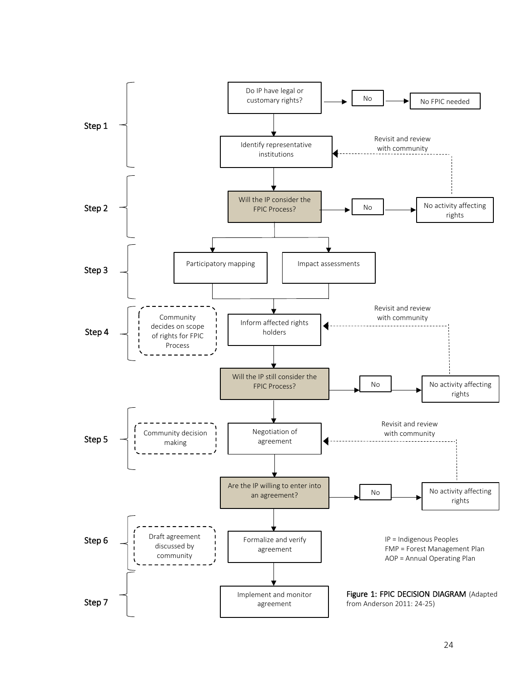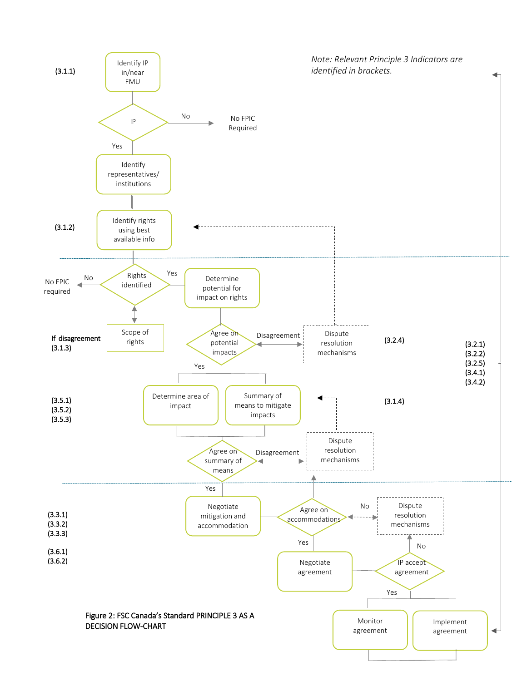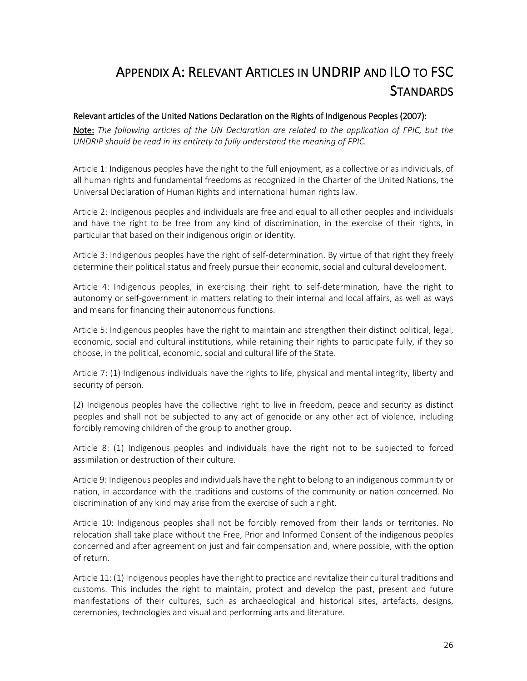# <span id="page-29-0"></span>APPENDIX A: RELEVANT ARTICLES IN UNDRIP AND ILO TO FSC **STANDARDS**

#### Relevant articles of the United Nations Declaration on the Rights of Indigenous Peoples (2007):

Note: *The following articles of the UN Declaration are related to the application of FPIC, but the UNDRIP should be read in its entirety to fully understand the meaning of FPIC.*

Article 1: Indigenous peoples have the right to the full enjoyment, as a collective or as individuals, of all human rights and fundamental freedoms as recognized in the Charter of the United Nations, the Universal Declaration of Human Rights and international human rights law.

Article 2: Indigenous peoples and individuals are free and equal to all other peoples and individuals and have the right to be free from any kind of discrimination, in the exercise of their rights, in particular that based on their indigenous origin or identity.

Article 3: Indigenous peoples have the right of self-determination. By virtue of that right they freely determine their political status and freely pursue their economic, social and cultural development.

Article 4: Indigenous peoples, in exercising their right to self-determination, have the right to autonomy or self-government in matters relating to their internal and local affairs, as well as ways and means for financing their autonomous functions.

Article 5: Indigenous peoples have the right to maintain and strengthen their distinct political, legal, economic, social and cultural institutions, while retaining their rights to participate fully, if they so choose, in the political, economic, social and cultural life of the State.

Article 7: (1) Indigenous individuals have the rights to life, physical and mental integrity, liberty and security of person.

(2) Indigenous peoples have the collective right to live in freedom, peace and security as distinct peoples and shall not be subjected to any act of genocide or any other act of violence, including forcibly removing children of the group to another group.

Article 8: (1) Indigenous peoples and individuals have the right not to be subjected to forced assimilation or destruction of their culture.

Article 9: Indigenous peoples and individuals have the right to belong to an indigenous community or nation, in accordance with the traditions and customs of the community or nation concerned. No discrimination of any kind may arise from the exercise of such a right.

Article 10: Indigenous peoples shall not be forcibly removed from their lands or territories. No relocation shall take place without the Free, Prior and Informed Consent of the indigenous peoples concerned and after agreement on just and fair compensation and, where possible, with the option of return.

Article 11: (1) Indigenous peoples have the right to practice and revitalize their cultural traditions and customs. This includes the right to maintain, protect and develop the past, present and future manifestations of their cultures, such as archaeological and historical sites, artefacts, designs, ceremonies, technologies and visual and performing arts and literature.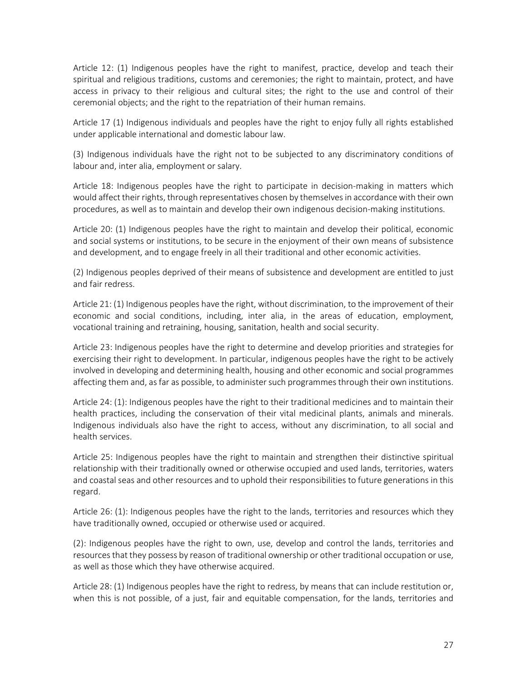Article 12: (1) Indigenous peoples have the right to manifest, practice, develop and teach their spiritual and religious traditions, customs and ceremonies; the right to maintain, protect, and have access in privacy to their religious and cultural sites; the right to the use and control of their ceremonial objects; and the right to the repatriation of their human remains.

Article 17 (1) Indigenous individuals and peoples have the right to enjoy fully all rights established under applicable international and domestic labour law.

(3) Indigenous individuals have the right not to be subjected to any discriminatory conditions of labour and, inter alia, employment or salary.

Article 18: Indigenous peoples have the right to participate in decision-making in matters which would affect their rights, through representatives chosen by themselves in accordance with their own procedures, as well as to maintain and develop their own indigenous decision-making institutions.

Article 20: (1) Indigenous peoples have the right to maintain and develop their political, economic and social systems or institutions, to be secure in the enjoyment of their own means of subsistence and development, and to engage freely in all their traditional and other economic activities.

(2) Indigenous peoples deprived of their means of subsistence and development are entitled to just and fair redress.

Article 21: (1) Indigenous peoples have the right, without discrimination, to the improvement of their economic and social conditions, including, inter alia, in the areas of education, employment, vocational training and retraining, housing, sanitation, health and social security.

Article 23: Indigenous peoples have the right to determine and develop priorities and strategies for exercising their right to development. In particular, indigenous peoples have the right to be actively involved in developing and determining health, housing and other economic and social programmes affecting them and, as far as possible, to administer such programmes through their own institutions.

Article 24: (1): Indigenous peoples have the right to their traditional medicines and to maintain their health practices, including the conservation of their vital medicinal plants, animals and minerals. Indigenous individuals also have the right to access, without any discrimination, to all social and health services.

Article 25: Indigenous peoples have the right to maintain and strengthen their distinctive spiritual relationship with their traditionally owned or otherwise occupied and used lands, territories, waters and coastal seas and other resources and to uphold their responsibilities to future generations in this regard.

Article 26: (1): Indigenous peoples have the right to the lands, territories and resources which they have traditionally owned, occupied or otherwise used or acquired.

(2): Indigenous peoples have the right to own, use, develop and control the lands, territories and resources that they possess by reason of traditional ownership or other traditional occupation or use, as well as those which they have otherwise acquired.

Article 28: (1) Indigenous peoples have the right to redress, by means that can include restitution or, when this is not possible, of a just, fair and equitable compensation, for the lands, territories and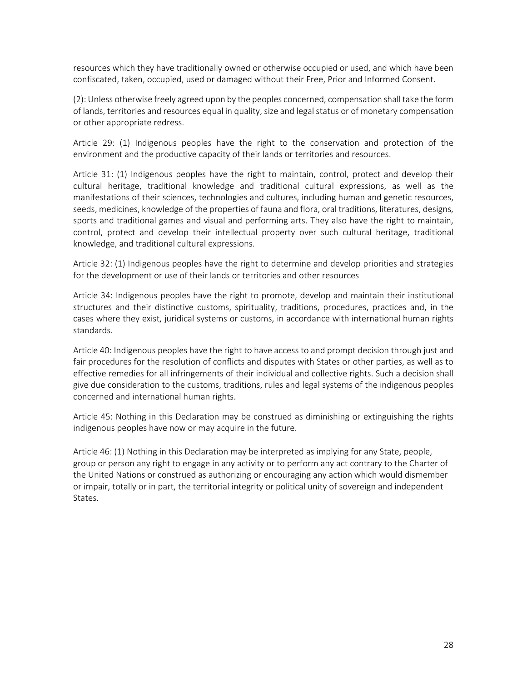resources which they have traditionally owned or otherwise occupied or used, and which have been confiscated, taken, occupied, used or damaged without their Free, Prior and Informed Consent.

(2): Unless otherwise freely agreed upon by the peoples concerned, compensation shall take the form of lands, territories and resources equal in quality, size and legal status or of monetary compensation or other appropriate redress.

Article 29: (1) Indigenous peoples have the right to the conservation and protection of the environment and the productive capacity of their lands or territories and resources.

Article 31: (1) Indigenous peoples have the right to maintain, control, protect and develop their cultural heritage, traditional knowledge and traditional cultural expressions, as well as the manifestations of their sciences, technologies and cultures, including human and genetic resources, seeds, medicines, knowledge of the properties of fauna and flora, oral traditions, literatures, designs, sports and traditional games and visual and performing arts. They also have the right to maintain, control, protect and develop their intellectual property over such cultural heritage, traditional knowledge, and traditional cultural expressions.

Article 32: (1) Indigenous peoples have the right to determine and develop priorities and strategies for the development or use of their lands or territories and other resources

Article 34: Indigenous peoples have the right to promote, develop and maintain their institutional structures and their distinctive customs, spirituality, traditions, procedures, practices and, in the cases where they exist, juridical systems or customs, in accordance with international human rights standards.

Article 40: Indigenous peoples have the right to have access to and prompt decision through just and fair procedures for the resolution of conflicts and disputes with States or other parties, as well as to effective remedies for all infringements of their individual and collective rights. Such a decision shall give due consideration to the customs, traditions, rules and legal systems of the indigenous peoples concerned and international human rights.

Article 45: Nothing in this Declaration may be construed as diminishing or extinguishing the rights indigenous peoples have now or may acquire in the future.

Article 46: (1) Nothing in this Declaration may be interpreted as implying for any State, people, group or person any right to engage in any activity or to perform any act contrary to the Charter of the United Nations or construed as authorizing or encouraging any action which would dismember or impair, totally or in part, the territorial integrity or political unity of sovereign and independent States.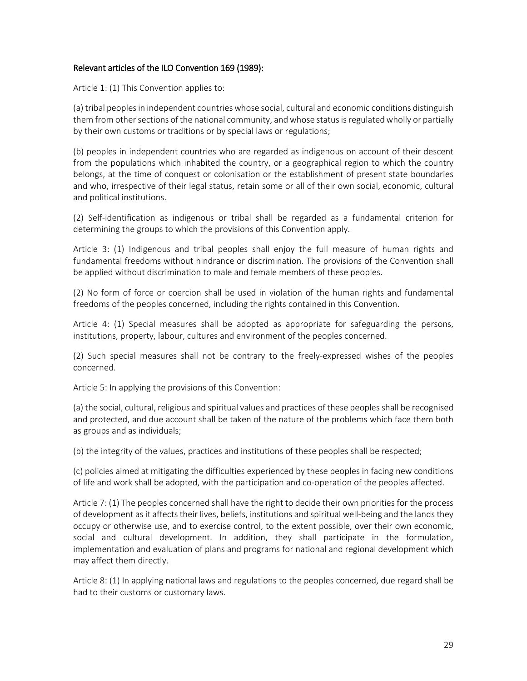#### Relevant articles of the ILO Convention 169 (1989):

Article 1: (1) This Convention applies to:

(a) tribal peoples in independent countries whose social, cultural and economic conditions distinguish them from other sections of the national community, and whose status is regulated wholly or partially by their own customs or traditions or by special laws or regulations;

(b) peoples in independent countries who are regarded as indigenous on account of their descent from the populations which inhabited the country, or a geographical region to which the country belongs, at the time of conquest or colonisation or the establishment of present state boundaries and who, irrespective of their legal status, retain some or all of their own social, economic, cultural and political institutions.

(2) Self-identification as indigenous or tribal shall be regarded as a fundamental criterion for determining the groups to which the provisions of this Convention apply.

Article 3: (1) Indigenous and tribal peoples shall enjoy the full measure of human rights and fundamental freedoms without hindrance or discrimination. The provisions of the Convention shall be applied without discrimination to male and female members of these peoples.

(2) No form of force or coercion shall be used in violation of the human rights and fundamental freedoms of the peoples concerned, including the rights contained in this Convention.

Article 4: (1) Special measures shall be adopted as appropriate for safeguarding the persons, institutions, property, labour, cultures and environment of the peoples concerned.

(2) Such special measures shall not be contrary to the freely-expressed wishes of the peoples concerned.

Article 5: In applying the provisions of this Convention:

(a) the social, cultural, religious and spiritual values and practices of these peoples shall be recognised and protected, and due account shall be taken of the nature of the problems which face them both as groups and as individuals;

(b) the integrity of the values, practices and institutions of these peoples shall be respected;

(c) policies aimed at mitigating the difficulties experienced by these peoples in facing new conditions of life and work shall be adopted, with the participation and co-operation of the peoples affected.

Article 7: (1) The peoples concerned shall have the right to decide their own priorities for the process of development as it affects their lives, beliefs, institutions and spiritual well-being and the lands they occupy or otherwise use, and to exercise control, to the extent possible, over their own economic, social and cultural development. In addition, they shall participate in the formulation, implementation and evaluation of plans and programs for national and regional development which may affect them directly.

Article 8: (1) In applying national laws and regulations to the peoples concerned, due regard shall be had to their customs or customary laws.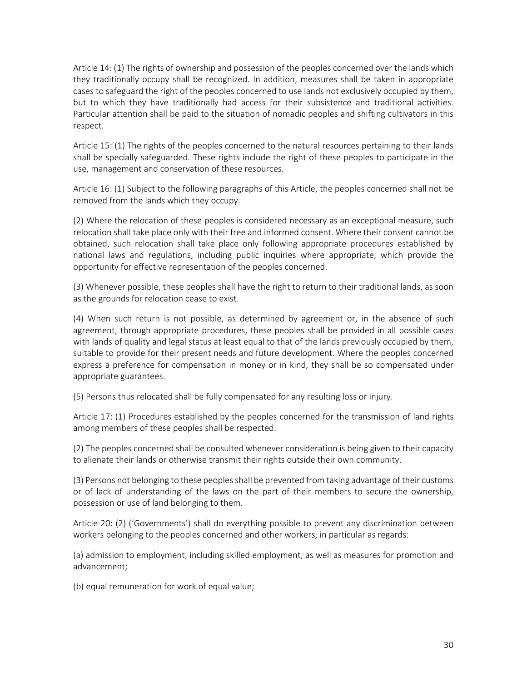Article 14: (1) The rights of ownership and possession of the peoples concerned over the lands which they traditionally occupy shall be recognized. In addition, measures shall be taken in appropriate cases to safeguard the right of the peoples concerned to use lands not exclusively occupied by them, but to which they have traditionally had access for their subsistence and traditional activities. Particular attention shall be paid to the situation of nomadic peoples and shifting cultivators in this respect.

Article 15: (1) The rights of the peoples concerned to the natural resources pertaining to their lands shall be specially safeguarded. These rights include the right of these peoples to participate in the use, management and conservation of these resources.

Article 16: (1) Subject to the following paragraphs of this Article, the peoples concerned shall not be removed from the lands which they occupy.

(2) Where the relocation of these peoples is considered necessary as an exceptional measure, such relocation shall take place only with their free and informed consent. Where their consent cannot be obtained, such relocation shall take place only following appropriate procedures established by national laws and regulations, including public inquiries where appropriate, which provide the opportunity for effective representation of the peoples concerned.

(3) Whenever possible, these peoples shall have the right to return to their traditional lands, as soon as the grounds for relocation cease to exist.

(4) When such return is not possible, as determined by agreement or, in the absence of such agreement, through appropriate procedures, these peoples shall be provided in all possible cases with lands of quality and legal status at least equal to that of the lands previously occupied by them, suitable to provide for their present needs and future development. Where the peoples concerned express a preference for compensation in money or in kind, they shall be so compensated under appropriate guarantees.

(5) Persons thus relocated shall be fully compensated for any resulting loss or injury.

Article 17: (1) Procedures established by the peoples concerned for the transmission of land rights among members of these peoples shall be respected.

(2) The peoples concerned shall be consulted whenever consideration is being given to their capacity to alienate their lands or otherwise transmit their rights outside their own community.

(3) Persons not belonging to these peoples shall be prevented from taking advantage of their customs or of lack of understanding of the laws on the part of their members to secure the ownership, possession or use of land belonging to them.

Article 20: (2) ('Governments') shall do everything possible to prevent any discrimination between workers belonging to the peoples concerned and other workers, in particular as regards:

(a) admission to employment, including skilled employment, as well as measures for promotion and advancement;

(b) equal remuneration for work of equal value;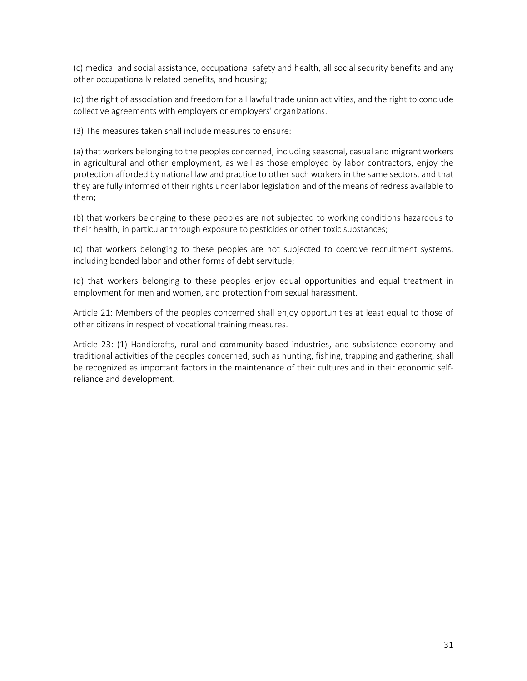(c) medical and social assistance, occupational safety and health, all social security benefits and any other occupationally related benefits, and housing;

(d) the right of association and freedom for all lawful trade union activities, and the right to conclude collective agreements with employers or employers' organizations.

(3) The measures taken shall include measures to ensure:

(a) that workers belonging to the peoples concerned, including seasonal, casual and migrant workers in agricultural and other employment, as well as those employed by labor contractors, enjoy the protection afforded by national law and practice to other such workers in the same sectors, and that they are fully informed of their rights under labor legislation and of the means of redress available to them;

(b) that workers belonging to these peoples are not subjected to working conditions hazardous to their health, in particular through exposure to pesticides or other toxic substances;

(c) that workers belonging to these peoples are not subjected to coercive recruitment systems, including bonded labor and other forms of debt servitude;

(d) that workers belonging to these peoples enjoy equal opportunities and equal treatment in employment for men and women, and protection from sexual harassment.

Article 21: Members of the peoples concerned shall enjoy opportunities at least equal to those of other citizens in respect of vocational training measures.

Article 23: (1) Handicrafts, rural and community-based industries, and subsistence economy and traditional activities of the peoples concerned, such as hunting, fishing, trapping and gathering, shall be recognized as important factors in the maintenance of their cultures and in their economic selfreliance and development.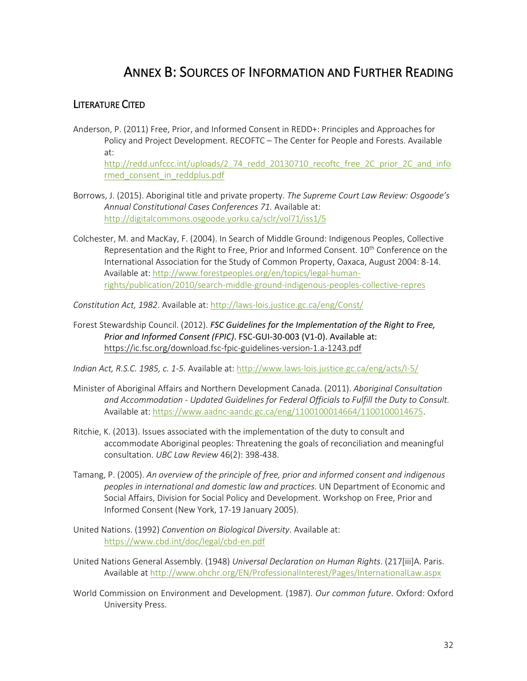### ANNEX B: SOURCES OF INFORMATION AND FURTHER READING

#### <span id="page-35-1"></span><span id="page-35-0"></span>LITERATURE CITED

Anderson, P. (2011) Free, Prior, and Informed Consent in REDD+: Principles and Approaches for Policy and Project Development. RECOFTC – The Center for People and Forests. Available at:

[http://redd.unfccc.int/uploads/2\\_74\\_redd\\_20130710\\_recoftc\\_free\\_2C\\_prior\\_2C\\_and\\_info](http://redd.unfccc.int/uploads/2_74_redd_20130710_recoftc_free_2C_prior_2C_and_informed_consent_in_reddplus.pdf) [rmed\\_consent\\_in\\_reddplus.pdf](http://redd.unfccc.int/uploads/2_74_redd_20130710_recoftc_free_2C_prior_2C_and_informed_consent_in_reddplus.pdf)

- Borrows, J. (2015). Aboriginal title and private property. *The Supreme Court Law Review: Osgoode's Annual Constitutional Cases Conferences 71.* Available at: <http://digitalcommons.osgoode.yorku.ca/sclr/vol71/iss1/5>
- Colchester, M. and MacKay, F. (2004). In Search of Middle Ground: Indigenous Peoples, Collective Representation and the Right to Free, Prior and Informed Consent. 10<sup>th</sup> Conference on the International Association for the Study of Common Property, Oaxaca, August 2004: 8-14. Available at: [http://www.forestpeoples.org/en/topics/legal-human](http://www.forestpeoples.org/en/topics/legal-human-rights/publication/2010/search-middle-ground-indigenous-peoples-collective-repres)[rights/publication/2010/search-middle-ground-indigenous-peoples-collective-repres](http://www.forestpeoples.org/en/topics/legal-human-rights/publication/2010/search-middle-ground-indigenous-peoples-collective-repres)
- *Constitution Act, 1982*. Available at[: http://laws-lois.justice.gc.ca/eng/Const/](http://laws-lois.justice.gc.ca/eng/Const/)
- Forest Stewardship Council. (2012). *FSC Guidelines for the Implementation of the Right to Free, Prior and Informed Consent (FPIC)*. FSC-GUI-30-003 (V1-0). Available at: <https://ic.fsc.org/download.fsc-fpic-guidelines-version-1.a-1243.pdf>

*Indian Act, R.S.C. 1985, c. 1-5.* Available at:<http://www.laws-lois.justice.gc.ca/eng/acts/I-5/>

- Minister of Aboriginal Affairs and Northern Development Canada. (2011). *Aboriginal Consultation and Accommodation - Updated Guidelines for Federal Officials to Fulfill the Duty to Consult.* Available at: [https://www.aadnc-aandc.gc.ca/eng/1100100014664/1100100014675.](https://www.aadnc-aandc.gc.ca/eng/1100100014664/1100100014675)
- Ritchie, K. (2013). Issues associated with the implementation of the duty to consult and accommodate Aboriginal peoples: Threatening the goals of reconciliation and meaningful consultation. *UBC Law Review* 46(2): 398-438.
- Tamang, P. (2005). *An overview of the principle of free, prior and informed consent and indigenous peoples in international and domestic law and practices*. UN Department of Economic and Social Affairs, Division for Social Policy and Development. Workshop on Free, Prior and Informed Consent (New York, 17-19 January 2005).
- United Nations. (1992) *Convention on Biological Diversity*. Available at: <https://www.cbd.int/doc/legal/cbd-en.pdf>
- United Nations General Assembly. (1948) *Universal Declaration on Human Rights*. (217[iii]A. Paris. Available a[t http://www.ohchr.org/EN/ProfessionalInterest/Pages/InternationalLaw.aspx](http://www.ohchr.org/EN/ProfessionalInterest/Pages/InternationalLaw.aspx)
- World Commission on Environment and Development. (1987). *Our common future*. Oxford: Oxford University Press.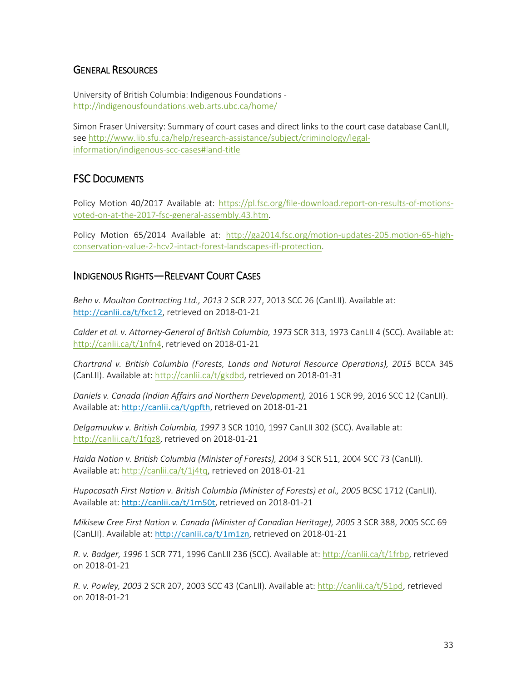#### <span id="page-36-0"></span>GENERAL RESOURCES

University of British Columbia: Indigenous Foundations <http://indigenousfoundations.web.arts.ubc.ca/home/>

Simon Fraser University: Summary of court cases and direct links to the court case database CanLII, se[e http://www.lib.sfu.ca/help/research-assistance/subject/criminology/legal](http://www.lib.sfu.ca/help/research-assistance/subject/criminology/legal-information/indigenous-scc-cases#land-title)[information/indigenous-scc-cases#land-title](http://www.lib.sfu.ca/help/research-assistance/subject/criminology/legal-information/indigenous-scc-cases#land-title)

#### <span id="page-36-1"></span>FSC DOCUMENTS

Policy Motion 40/2017 Available at: [https://pl.fsc.org/file-download.report-on-results-of-motions](https://pl.fsc.org/file-download.report-on-results-of-motions-voted-on-at-the-2017-fsc-general-assembly.43.htm)[voted-on-at-the-2017-fsc-general-assembly.43.htm.](https://pl.fsc.org/file-download.report-on-results-of-motions-voted-on-at-the-2017-fsc-general-assembly.43.htm)

Policy Motion 65/2014 Available at: [http://ga2014.fsc.org/motion-updates-205.motion-65-high](http://ga2014.fsc.org/motion-updates-205.motion-65-high-conservation-value-2-hcv2-intact-forest-landscapes-ifl-protection)[conservation-value-2-hcv2-intact-forest-landscapes-ifl-protection.](http://ga2014.fsc.org/motion-updates-205.motion-65-high-conservation-value-2-hcv2-intact-forest-landscapes-ifl-protection)

#### <span id="page-36-2"></span>INDIGENOUS RIGHTS—RELEVANT COURT CASES

*Behn v. Moulton Contracting Ltd., 2013* 2 SCR 227, 2013 SCC 26 (CanLII). Available at: <http://canlii.ca/t/fxc12>, retrieved on 2018-01-21

*Calder et al. v. Attorney-General of British Columbia, 1973* SCR 313, 1973 CanLII 4 (SCC). Available at: [http://canlii.ca/t/1nfn4,](http://canlii.ca/t/1nfn4) retrieved on 2018-01-21

*Chartrand v. British Columbia (Forests, Lands and Natural Resource Operations), 2015* BCCA 345 (CanLII). Available at: [http://canlii.ca/t/gkdbd,](http://canlii.ca/t/gkdbd) retrieved on 2018-01-31

*Daniels v. Canada (Indian Affairs and Northern Development),* 2016 1 SCR 99, 2016 SCC 12 (CanLII). Available at: http://canlii.ca/t/qpfth, retrieved on 2018-01-21

*Delgamuukw v. British Columbia, 1997* 3 SCR 1010, 1997 CanLII 302 (SCC). Available at: [http://canlii.ca/t/1fqz8,](http://canlii.ca/t/1fqz8) retrieved on 2018-01-21

*Haida Nation v. British Columbia (Minister of Forests), 2004* 3 SCR 511, 2004 SCC 73 (CanLII). Available at: [http://canlii.ca/t/1j4tq,](http://canlii.ca/t/1j4tq) retrieved on 2018-01-21

*Hupacasath First Nation v. British Columbia (Minister of Forests) et al., 2005* BCSC 1712 (CanLII). Available at: <http://canlii.ca/t/1m50t>, retrieved on 2018-01-21

*Mikisew Cree First Nation v. Canada (Minister of Canadian Heritage), 2005* 3 SCR 388, 2005 SCC 69 (CanLII). Available at: <http://canlii.ca/t/1m1zn>, retrieved on 2018-01-21

*R. v. Badger, 1996* 1 SCR 771, 1996 CanLII 236 (SCC). Available at: [http://canlii.ca/t/1frbp,](http://canlii.ca/t/1frbp) retrieved on 2018-01-21

*R. v. Powley, 2003* 2 SCR 207, 2003 SCC 43 (CanLII). Available at: [http://canlii.ca/t/51pd,](http://canlii.ca/t/51pd) retrieved on 2018-01-21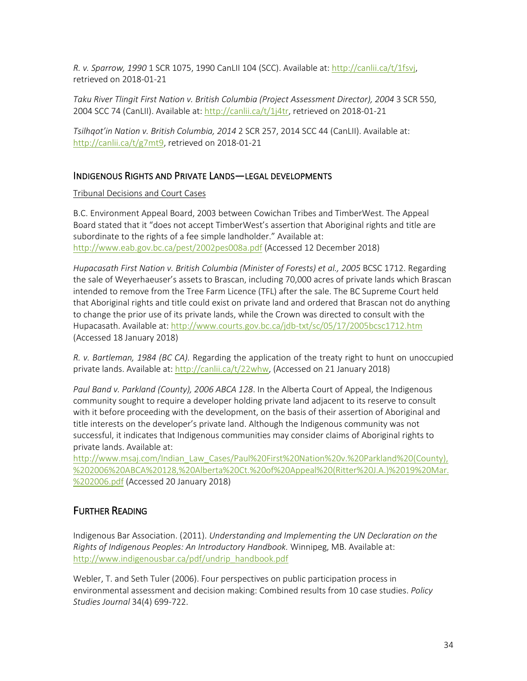*R. v. Sparrow, 1990* 1 SCR 1075, 1990 CanLII 104 (SCC). Available at[: http://canlii.ca/t/1fsvj,](http://canlii.ca/t/1fsvj) retrieved on 2018-01-21

*Taku River Tlingit First Nation v. British Columbia (Project Assessment Director), 2004* 3 SCR 550, 2004 SCC 74 (CanLII). Available at[: http://canlii.ca/t/1j4tr,](http://canlii.ca/t/1j4tr) retrieved on 2018-01-21

*Tsilhqot'in Nation v. British Columbia, 2014* 2 SCR 257, 2014 SCC 44 (CanLII). Available at: [http://canlii.ca/t/g7mt9,](http://canlii.ca/t/g7mt9) retrieved on 2018-01-21

#### <span id="page-37-0"></span>INDIGENOUS RIGHTS AND PRIVATE LANDS—LEGAL DEVELOPMENTS

Tribunal Decisions and Court Cases

B.C. Environment Appeal Board, 2003 between Cowichan Tribes and TimberWest. The Appeal Board stated that it "does not accept TimberWest's assertion that Aboriginal rights and title are subordinate to the rights of a fee simple landholder." Available at: <http://www.eab.gov.bc.ca/pest/2002pes008a.pdf> (Accessed 12 December 2018)

*Hupacasath First Nation v. British Columbia (Minister of Forests) et al., 2005* BCSC 1712. Regarding the sale of Weyerhaeuser's assets to Brascan, including 70,000 acres of private lands which Brascan intended to remove from the Tree Farm Licence (TFL) after the sale. The BC Supreme Court held that Aboriginal rights and title could exist on private land and ordered that Brascan not do anything to change the prior use of its private lands, while the Crown was directed to consult with the Hupacasath. Available at[: http://www.courts.gov.bc.ca/jdb-txt/sc/05/17/2005bcsc1712.htm](http://www.courts.gov.bc.ca/jdb-txt/sc/05/17/2005bcsc1712.htm) (Accessed 18 January 2018)

*R. v. Bartleman, 1984 (BC CA).* Regarding the application of the treaty right to hunt on unoccupied private lands. Available at: [http://canlii.ca/t/22whw,](http://canlii.ca/t/22whw) (Accessed on 21 January 2018)

*Paul Band v. Parkland (County), 2006 ABCA 128*. In the Alberta Court of Appeal, the Indigenous community sought to require a developer holding private land adjacent to its reserve to consult with it before proceeding with the development, on the basis of their assertion of Aboriginal and title interests on the developer's private land. Although the Indigenous community was not successful, it indicates that Indigenous communities may consider claims of Aboriginal rights to private lands. Available at:

[http://www.msaj.com/Indian\\_Law\\_Cases/Paul%20First%20Nation%20v.%20Parkland%20\(County\),](http://www.msaj.com/Indian_Law_Cases/Paul%20First%20Nation%20v.%20Parkland%20(County),%202006%20ABCA%20128,%20Alberta%20Ct.%20of%20Appeal%20(Ritter%20J.A.)%2019%20Mar.%202006.pdf) [%202006%20ABCA%20128,%20Alberta%20Ct.%20of%20Appeal%20\(Ritter%20J.A.\)%2019%20Mar.](http://www.msaj.com/Indian_Law_Cases/Paul%20First%20Nation%20v.%20Parkland%20(County),%202006%20ABCA%20128,%20Alberta%20Ct.%20of%20Appeal%20(Ritter%20J.A.)%2019%20Mar.%202006.pdf) [%202006.pdf](http://www.msaj.com/Indian_Law_Cases/Paul%20First%20Nation%20v.%20Parkland%20(County),%202006%20ABCA%20128,%20Alberta%20Ct.%20of%20Appeal%20(Ritter%20J.A.)%2019%20Mar.%202006.pdf) (Accessed 20 January 2018)

#### <span id="page-37-1"></span>FURTHER READING

Indigenous Bar Association. (2011). *Understanding and Implementing the UN Declaration on the Rights of Indigenous Peoples: An Introductory Handbook.* Winnipeg, MB. Available at: [http://www.indigenousbar.ca/pdf/undrip\\_handbook.pdf](http://www.indigenousbar.ca/pdf/undrip_handbook.pdf)

Webler, T. and Seth Tuler (2006). Four perspectives on public participation process in environmental assessment and decision making: Combined results from 10 case studies. *Policy Studies Journal* 34(4) 699-722.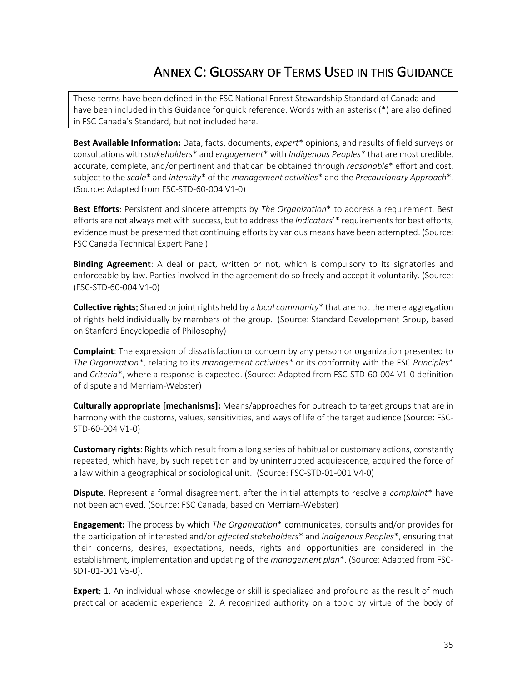### ANNEX C: GLOSSARY OF TERMS USED IN THIS GUIDANCE

<span id="page-38-0"></span>These terms have been defined in the FSC National Forest Stewardship Standard of Canada and have been included in this Guidance for quick reference. Words with an asterisk (\*) are also defined in FSC Canada's Standard, but not included here.

**Best Available Information:** Data, facts, documents, *expert*\* opinions, and results of field surveys or consultations with *stakeholders*\* and *engagement*\* with *Indigenous Peoples*\* that are most credible, accurate, complete, and/or pertinent and that can be obtained through *reasonable*\* effort and cost, subject to the *scale*\* and *intensity*\* of the *management activities*\* and the *Precautionary Approach*\*. (Source: Adapted from FSC-STD-60-004 V1-0)

**Best Efforts**: Persistent and sincere attempts by *The Organization*\* to address a requirement. Best efforts are not always met with success, but to address the *Indicators*'\* requirements for best efforts, evidence must be presented that continuing efforts by various means have been attempted. (Source: FSC Canada Technical Expert Panel)

**Binding Agreement**: A deal or pact, written or not, which is compulsory to its signatories and enforceable by law. Parties involved in the agreement do so freely and accept it voluntarily. (Source: (FSC-STD-60-004 V1-0)

**Collective rights**: Shared or joint rights held by a *local community*\* that are not the mere aggregation of rights held individually by members of the group. (Source: Standard Development Group, based on Stanford Encyclopedia of Philosophy)

**Complaint**: The expression of dissatisfaction or concern by any person or organization presented to *The Organization\**, relating to its *management activities\** or its conformity with the FSC *Principles*\* and *Criteria*\*, where a response is expected. (Source: Adapted from FSC-STD-60-004 V1-0 definition of dispute and Merriam-Webster)

**Culturally appropriate [mechanisms]:** Means/approaches for outreach to target groups that are in harmony with the customs, values, sensitivities, and ways of life of the target audience (Source: FSC-STD-60-004 V1-0)

**Customary rights**: Rights which result from a long series of habitual or customary actions, constantly repeated, which have, by such repetition and by uninterrupted acquiescence, acquired the force of a law within a geographical or sociological unit. (Source: FSC-STD-01-001 V4-0)

**Dispute**. Represent a formal disagreement, after the initial attempts to resolve a *complaint*\* have not been achieved. (Source: FSC Canada, based on Merriam-Webster)

**Engagement:** The process by which *The Organization*\* communicates, consults and/or provides for the participation of interested and/or *affected stakeholders*\* and *Indigenous Peoples*\*, ensuring that their concerns, desires, expectations, needs, rights and opportunities are considered in the establishment, implementation and updating of the *management plan*\*. (Source: Adapted from FSC-SDT-01-001 V5-0).

**Expert**: 1. An individual whose knowledge or skill is specialized and profound as the result of much practical or academic experience. 2. A recognized authority on a topic by virtue of the body of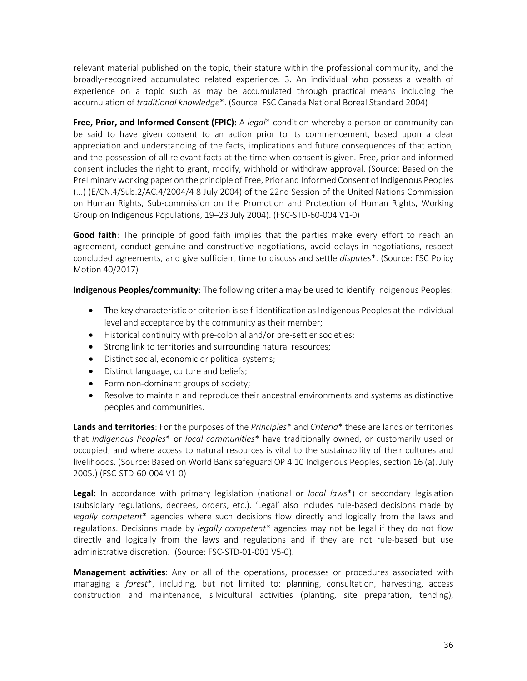relevant material published on the topic, their stature within the professional community, and the broadly-recognized accumulated related experience. 3. An individual who possess a wealth of experience on a topic such as may be accumulated through practical means including the accumulation of *traditional knowledge*\*. (Source: FSC Canada National Boreal Standard 2004)

**Free, Prior, and Informed Consent (FPIC):** A *legal*<sup>\*</sup> condition whereby a person or community can be said to have given consent to an action prior to its commencement, based upon a clear appreciation and understanding of the facts, implications and future consequences of that action, and the possession of all relevant facts at the time when consent is given*.* Free, prior and informed consent includes the right to grant, modify, withhold or withdraw approval. (Source: Based on the Preliminary working paper on the principle of Free, Prior and Informed Consent of Indigenous Peoples (...) (E/CN.4/Sub.2/AC.4/2004/4 8 July 2004) of the 22nd Session of the United Nations Commission on Human Rights, Sub-commission on the Promotion and Protection of Human Rights, Working Group on Indigenous Populations, 19–23 July 2004). (FSC-STD-60-004 V1-0)

**Good faith**: The principle of good faith implies that the parties make every effort to reach an agreement, conduct genuine and constructive negotiations, avoid delays in negotiations, respect concluded agreements, and give sufficient time to discuss and settle *disputes*\*. (Source: FSC Policy Motion 40/2017)

**Indigenous Peoples/community**: The following criteria may be used to identify Indigenous Peoples:

- The key characteristic or criterion is self-identification as Indigenous Peoples at the individual level and acceptance by the community as their member;
- Historical continuity with pre-colonial and/or pre-settler societies;
- Strong link to territories and surrounding natural resources;
- Distinct social, economic or political systems;
- Distinct language, culture and beliefs;
- Form non-dominant groups of society;
- Resolve to maintain and reproduce their ancestral environments and systems as distinctive peoples and communities.

**Lands and territories**: For the purposes of the *Principles*\* and *Criteria*\* these are lands or territories that *Indigenous Peoples*\* or *local communities*\* have traditionally owned, or customarily used or occupied, and where access to natural resources is vital to the sustainability of their cultures and livelihoods. (Source: Based on World Bank safeguard OP 4.10 Indigenous Peoples, section 16 (a). July 2005.) (FSC-STD-60-004 V1-0)

**Legal**: In accordance with primary legislation (national or *local laws*\*) or secondary legislation (subsidiary regulations, decrees, orders, etc.). 'Legal' also includes rule-based decisions made by *legally competent*\* agencies where such decisions flow directly and logically from the laws and regulations. Decisions made by *legally competent*\* agencies may not be legal if they do not flow directly and logically from the laws and regulations and if they are not rule-based but use administrative discretion. (Source: FSC-STD-01-001 V5-0).

**Management activities**: Any or all of the operations, processes or procedures associated with managing a *forest*\*, including, but not limited to: planning, consultation, harvesting, access construction and maintenance, silvicultural activities (planting, site preparation, tending),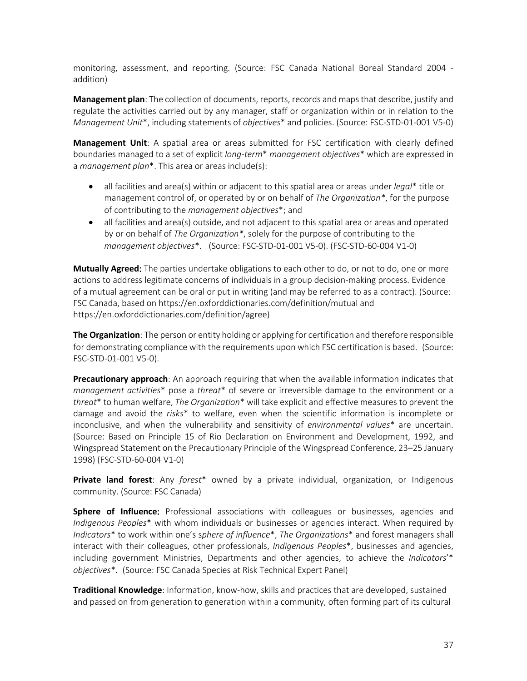monitoring, assessment, and reporting. (Source: FSC Canada National Boreal Standard 2004 addition)

**Management plan**: The collection of documents, reports, records and maps that describe, justify and regulate the activities carried out by any manager, staff or organization within or in relation to the *Management Unit*\*, including statements of *objectives*\* and policies. (Source: FSC-STD-01-001 V5-0)

**Management Unit**: A spatial area or areas submitted for FSC certification with clearly defined boundaries managed to a set of explicit *long-term*\* *management objectives*\* which are expressed in a *management plan*\*. This area or areas include(s):

- all facilities and area(s) within or adjacent to this spatial area or areas under *legal*\* title or management control of, or operated by or on behalf of *The Organization\**, for the purpose of contributing to the *management objectives*\*; and
- all facilities and area(s) outside, and not adjacent to this spatial area or areas and operated by or on behalf of *The Organization\**, solely for the purpose of contributing to the *management objectives*\*. (Source: FSC-STD-01-001 V5-0). (FSC-STD-60-004 V1-0)

**Mutually Agreed**: The parties undertake obligations to each other to do, or not to do, one or more actions to address legitimate concerns of individuals in a group decision-making process. Evidence of a mutual agreement can be oral or put in writing (and may be referred to as a contract). (Source: FSC Canada, based on<https://en.oxforddictionaries.com/definition/mutual> and [https://en.oxforddictionaries.com/definition/agree\)](https://en.oxforddictionaries.com/definition/agree)

**The Organization**: The person or entity holding or applying for certification and therefore responsible for demonstrating compliance with the requirements upon which FSC certification is based. (Source: FSC-STD-01-001 V5-0).

**Precautionary approach**: An approach requiring that when the available information indicates that *management activities*\* pose a *threat*\* of severe or irreversible damage to the environment or a *threat*\* to human welfare, *The Organization*\* will take explicit and effective measures to prevent the damage and avoid the *risks*\* to welfare, even when the scientific information is incomplete or inconclusive, and when the vulnerability and sensitivity of *environmental values*\* are uncertain. (Source: Based on Principle 15 of Rio Declaration on Environment and Development, 1992, and Wingspread Statement on the Precautionary Principle of the Wingspread Conference, 23–25 January 1998) (FSC-STD-60-004 V1-0)

**Private land forest**: Any *forest*\* owned by a private individual, organization, or Indigenous community. (Source: FSC Canada)

**Sphere of Influence:** Professional associations with colleagues or businesses, agencies and *Indigenous Peoples*\* with whom individuals or businesses or agencies interact. When required by *Indicators*\* to work within one's s*phere of influence*\*, *The Organizations*\* and forest managers shall interact with their colleagues, other professionals, *Indigenous Peoples*\*, businesses and agencies, including government Ministries, Departments and other agencies, to achieve the *Indicators*'\* *objectives*\*. (Source: FSC Canada Species at Risk Technical Expert Panel)

**Traditional Knowledge**: Information, know-how, skills and practices that are developed, sustained and passed on from generation to generation within a community, often forming part of its cultural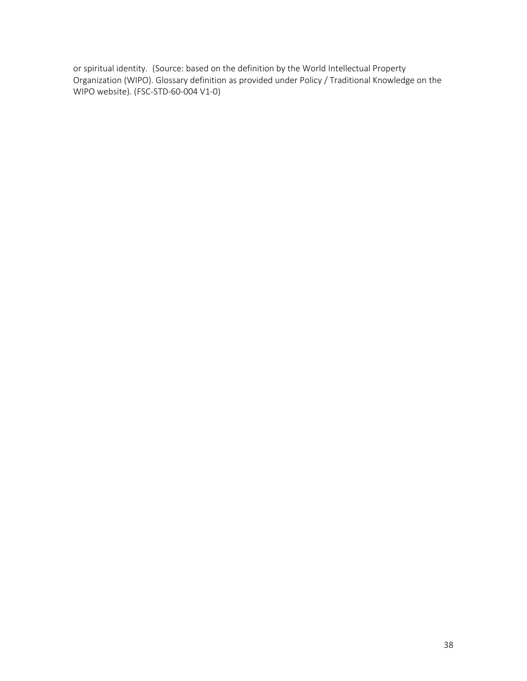or spiritual identity. (Source: based on the definition by the World Intellectual Property Organization (WIPO). Glossary definition as provided under Policy / Traditional Knowledge on the WIPO website). (FSC-STD-60-004 V1-0)